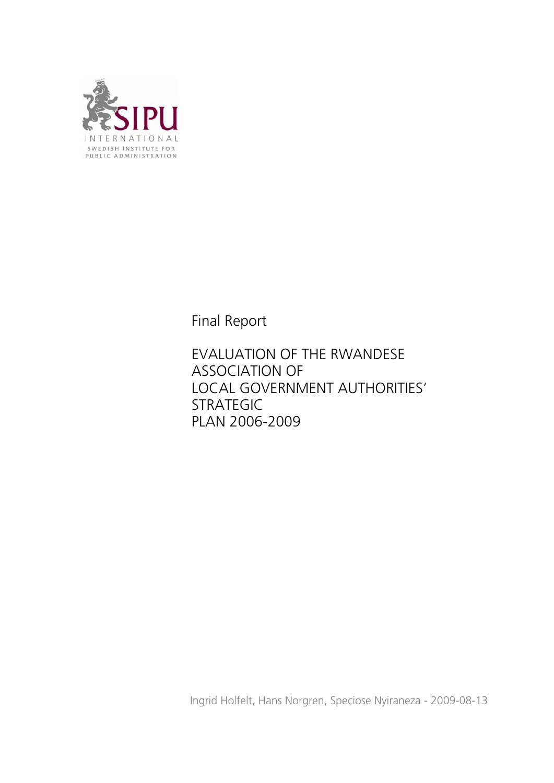

Final Report

EVALUATION OF THE RWANDESE ASSOCIATION OF LOCAL GOVERNMENT AUTHORITIES' STRATEGIC PLAN 2006-2009

Ingrid Holfelt, Hans Norgren, Speciose Nyiraneza - 2009-08-13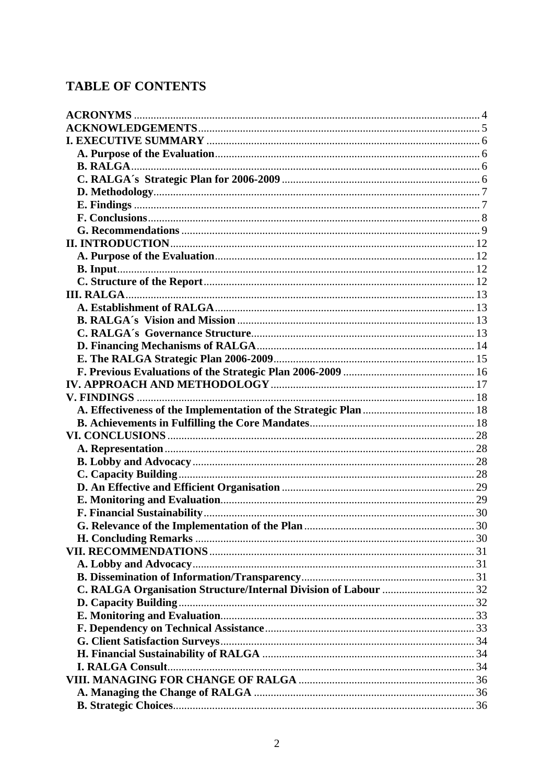# **TABLE OF CONTENTS**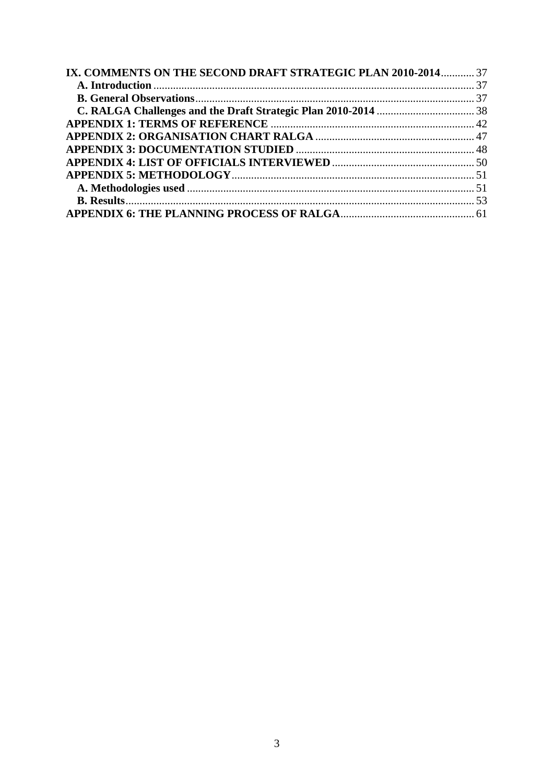| IX. COMMENTS ON THE SECOND DRAFT STRATEGIC PLAN 2010-2014 37 |  |
|--------------------------------------------------------------|--|
|                                                              |  |
|                                                              |  |
|                                                              |  |
|                                                              |  |
|                                                              |  |
|                                                              |  |
|                                                              |  |
|                                                              |  |
|                                                              |  |
|                                                              |  |
|                                                              |  |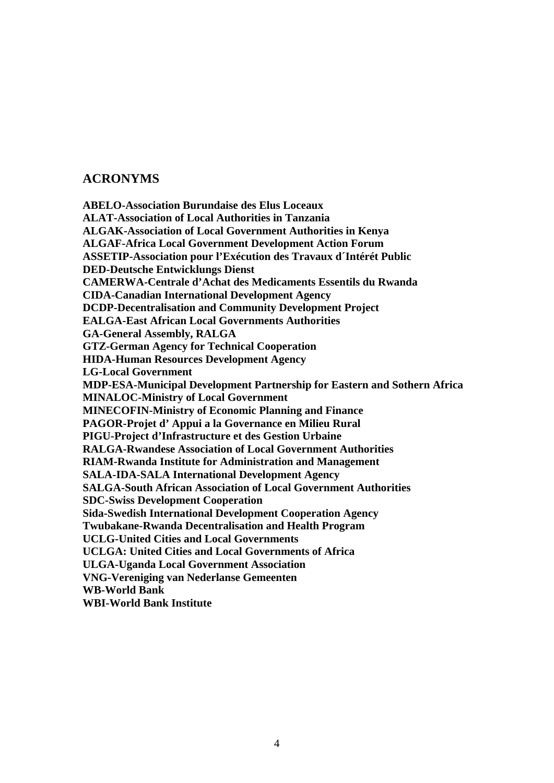# <span id="page-3-0"></span>**ACRONYMS**

**ABELO-Association Burundaise des Elus Loceaux ALAT-Association of Local Authorities in Tanzania ALGAK-Association of Local Government Authorities in Kenya ALGAF-Africa Local Government Development Action Forum ASSETIP-Association pour l'Exécution des Travaux d´Intérét Public DED-Deutsche Entwicklungs Dienst CAMERWA-Centrale d'Achat des Medicaments Essentils du Rwanda CIDA-Canadian International Development Agency DCDP-Decentralisation and Community Development Project EALGA-East African Local Governments Authorities GA-General Assembly, RALGA GTZ-German Agency for Technical Cooperation HIDA-Human Resources Development Agency LG-Local Government MDP-ESA-Municipal Development Partnership for Eastern and Sothern Africa MINALOC-Ministry of Local Government MINECOFIN-Ministry of Economic Planning and Finance PAGOR-Projet d' Appui a la Governance en Milieu Rural PIGU-Project d'Infrastructure et des Gestion Urbaine RALGA-Rwandese Association of Local Government Authorities RIAM-Rwanda Institute for Administration and Management SALA-IDA-SALA International Development Agency SALGA-South African Association of Local Government Authorities SDC-Swiss Development Cooperation Sida-Swedish International Development Cooperation Agency Twubakane-Rwanda Decentralisation and Health Program UCLG-United Cities and Local Governments UCLGA: United Cities and Local Governments of Africa ULGA-Uganda Local Government Association VNG-Vereniging van Nederlanse Gemeenten WB-World Bank WBI-World Bank Institute**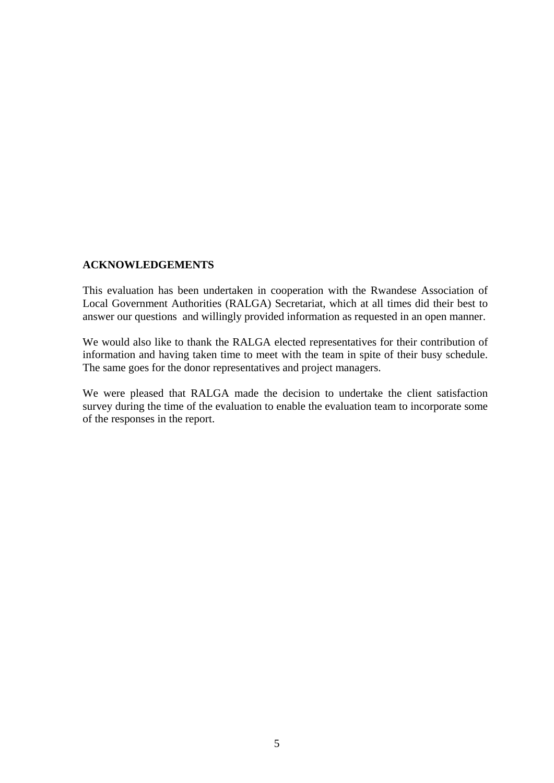#### <span id="page-4-0"></span>**ACKNOWLEDGEMENTS**

This evaluation has been undertaken in cooperation with the Rwandese Association of Local Government Authorities (RALGA) Secretariat, which at all times did their best to answer our questions and willingly provided information as requested in an open manner.

We would also like to thank the RALGA elected representatives for their contribution of information and having taken time to meet with the team in spite of their busy schedule. The same goes for the donor representatives and project managers.

We were pleased that RALGA made the decision to undertake the client satisfaction survey during the time of the evaluation to enable the evaluation team to incorporate some of the responses in the report.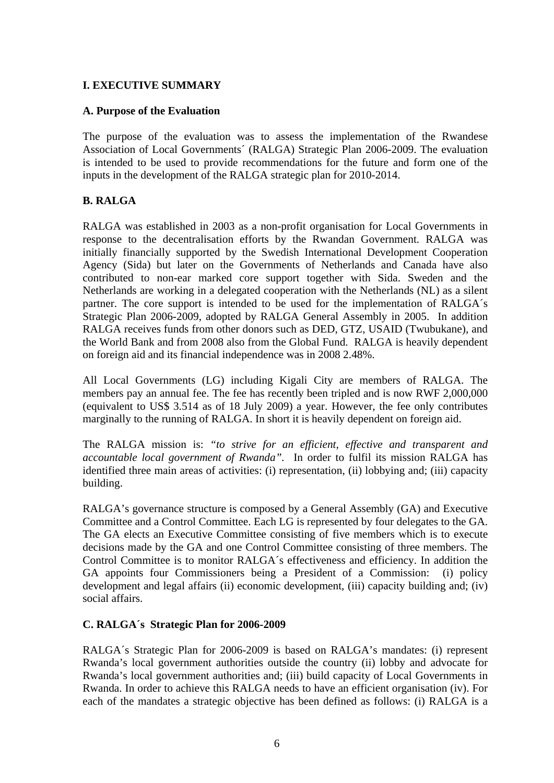## <span id="page-5-0"></span>**I. EXECUTIVE SUMMARY**

#### **A. Purpose of the Evaluation**

The purpose of the evaluation was to assess the implementation of the Rwandese Association of Local Governments´ (RALGA) Strategic Plan 2006-2009. The evaluation is intended to be used to provide recommendations for the future and form one of the inputs in the development of the RALGA strategic plan for 2010-2014.

#### **B. RALGA**

RALGA was established in 2003 as a non-profit organisation for Local Governments in response to the decentralisation efforts by the Rwandan Government. RALGA was initially financially supported by the Swedish International Development Cooperation Agency (Sida) but later on the Governments of Netherlands and Canada have also contributed to non-ear marked core support together with Sida. Sweden and the Netherlands are working in a delegated cooperation with the Netherlands (NL) as a silent partner. The core support is intended to be used for the implementation of RALGA´s Strategic Plan 2006-2009, adopted by RALGA General Assembly in 2005. In addition RALGA receives funds from other donors such as DED, GTZ, USAID (Twubukane), and the World Bank and from 2008 also from the Global Fund. RALGA is heavily dependent on foreign aid and its financial independence was in 2008 2.48%.

All Local Governments (LG) including Kigali City are members of RALGA. The members pay an annual fee. The fee has recently been tripled and is now RWF 2,000,000 (equivalent to US\$ 3.514 as of 18 July 2009) a year. However, the fee only contributes marginally to the running of RALGA. In short it is heavily dependent on foreign aid.

The RALGA mission is: *"to strive for an efficient, effective and transparent and accountable local government of Rwanda".* In order to fulfil its mission RALGA has identified three main areas of activities: (i) representation, (ii) lobbying and; (iii) capacity building.

RALGA's governance structure is composed by a General Assembly (GA) and Executive Committee and a Control Committee. Each LG is represented by four delegates to the GA. The GA elects an Executive Committee consisting of five members which is to execute decisions made by the GA and one Control Committee consisting of three members. The Control Committee is to monitor RALGA´s effectiveness and efficiency. In addition the GA appoints four Commissioners being a President of a Commission: (i) policy development and legal affairs (ii) economic development, (iii) capacity building and; (iv) social affairs.

#### **C. RALGA´s Strategic Plan for 2006-2009**

RALGA´s Strategic Plan for 2006-2009 is based on RALGA's mandates: (i) represent Rwanda's local government authorities outside the country (ii) lobby and advocate for Rwanda's local government authorities and; (iii) build capacity of Local Governments in Rwanda. In order to achieve this RALGA needs to have an efficient organisation (iv). For each of the mandates a strategic objective has been defined as follows: (i) RALGA is a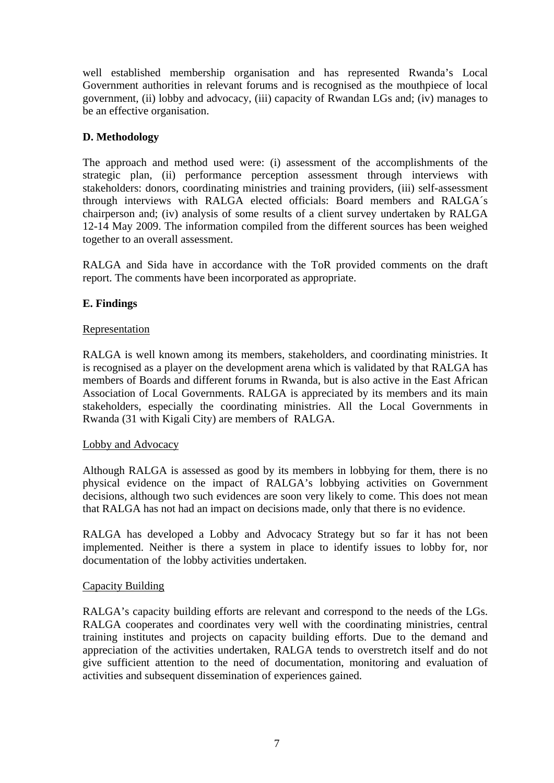<span id="page-6-0"></span>well established membership organisation and has represented Rwanda's Local Government authorities in relevant forums and is recognised as the mouthpiece of local government, (ii) lobby and advocacy, (iii) capacity of Rwandan LGs and; (iv) manages to be an effective organisation.

# **D. Methodology**

The approach and method used were: (i) assessment of the accomplishments of the strategic plan, (ii) performance perception assessment through interviews with stakeholders: donors, coordinating ministries and training providers, (iii) self-assessment through interviews with RALGA elected officials: Board members and RALGA´s chairperson and; (iv) analysis of some results of a client survey undertaken by RALGA 12-14 May 2009. The information compiled from the different sources has been weighed together to an overall assessment.

RALGA and Sida have in accordance with the ToR provided comments on the draft report. The comments have been incorporated as appropriate.

# **E. Findings**

#### Representation

RALGA is well known among its members, stakeholders, and coordinating ministries. It is recognised as a player on the development arena which is validated by that RALGA has members of Boards and different forums in Rwanda, but is also active in the East African Association of Local Governments. RALGA is appreciated by its members and its main stakeholders, especially the coordinating ministries. All the Local Governments in Rwanda (31 with Kigali City) are members of RALGA.

## Lobby and Advocacy

Although RALGA is assessed as good by its members in lobbying for them, there is no physical evidence on the impact of RALGA's lobbying activities on Government decisions, although two such evidences are soon very likely to come. This does not mean that RALGA has not had an impact on decisions made, only that there is no evidence.

RALGA has developed a Lobby and Advocacy Strategy but so far it has not been implemented. Neither is there a system in place to identify issues to lobby for, nor documentation of the lobby activities undertaken.

## Capacity Building

RALGA's capacity building efforts are relevant and correspond to the needs of the LGs. RALGA cooperates and coordinates very well with the coordinating ministries, central training institutes and projects on capacity building efforts. Due to the demand and appreciation of the activities undertaken, RALGA tends to overstretch itself and do not give sufficient attention to the need of documentation, monitoring and evaluation of activities and subsequent dissemination of experiences gained.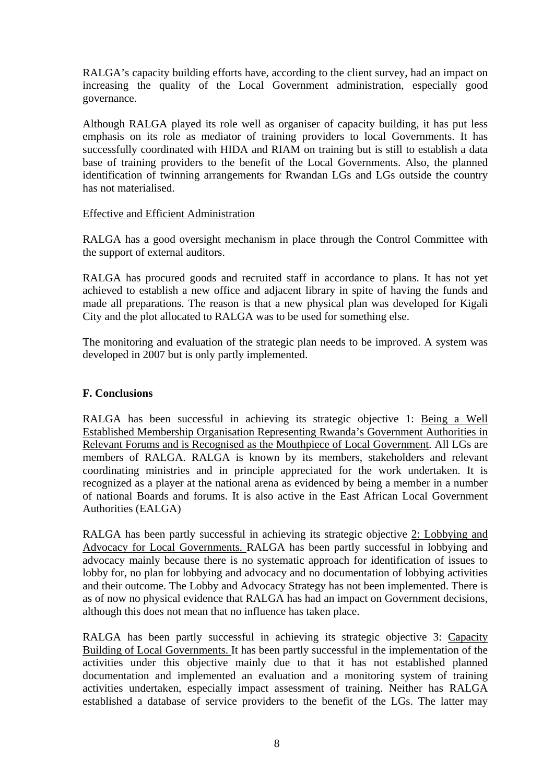<span id="page-7-0"></span>RALGA's capacity building efforts have, according to the client survey, had an impact on increasing the quality of the Local Government administration, especially good governance.

Although RALGA played its role well as organiser of capacity building, it has put less emphasis on its role as mediator of training providers to local Governments. It has successfully coordinated with HIDA and RIAM on training but is still to establish a data base of training providers to the benefit of the Local Governments. Also, the planned identification of twinning arrangements for Rwandan LGs and LGs outside the country has not materialised.

#### Effective and Efficient Administration

RALGA has a good oversight mechanism in place through the Control Committee with the support of external auditors.

RALGA has procured goods and recruited staff in accordance to plans. It has not yet achieved to establish a new office and adjacent library in spite of having the funds and made all preparations. The reason is that a new physical plan was developed for Kigali City and the plot allocated to RALGA was to be used for something else.

The monitoring and evaluation of the strategic plan needs to be improved. A system was developed in 2007 but is only partly implemented.

## **F. Conclusions**

RALGA has been successful in achieving its strategic objective 1: Being a Well Established Membership Organisation Representing Rwanda's Government Authorities in Relevant Forums and is Recognised as the Mouthpiece of Local Government. All LGs are members of RALGA. RALGA is known by its members, stakeholders and relevant coordinating ministries and in principle appreciated for the work undertaken. It is recognized as a player at the national arena as evidenced by being a member in a number of national Boards and forums. It is also active in the East African Local Government Authorities (EALGA)

RALGA has been partly successful in achieving its strategic objective 2: Lobbying and Advocacy for Local Governments. RALGA has been partly successful in lobbying and advocacy mainly because there is no systematic approach for identification of issues to lobby for, no plan for lobbying and advocacy and no documentation of lobbying activities and their outcome. The Lobby and Advocacy Strategy has not been implemented. There is as of now no physical evidence that RALGA has had an impact on Government decisions, although this does not mean that no influence has taken place.

RALGA has been partly successful in achieving its strategic objective 3: Capacity Building of Local Governments. It has been partly successful in the implementation of the activities under this objective mainly due to that it has not established planned documentation and implemented an evaluation and a monitoring system of training activities undertaken, especially impact assessment of training. Neither has RALGA established a database of service providers to the benefit of the LGs. The latter may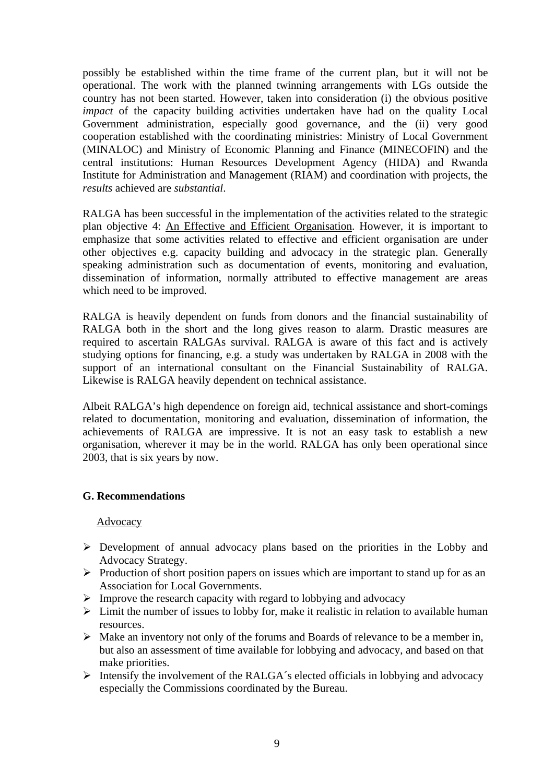<span id="page-8-0"></span>possibly be established within the time frame of the current plan, but it will not be operational. The work with the planned twinning arrangements with LGs outside the country has not been started. However, taken into consideration (i) the obvious positive *impact* of the capacity building activities undertaken have had on the quality Local Government administration, especially good governance, and the (ii) very good cooperation established with the coordinating ministries: Ministry of Local Government (MINALOC) and Ministry of Economic Planning and Finance (MINECOFIN) and the central institutions: Human Resources Development Agency (HIDA) and Rwanda Institute for Administration and Management (RIAM) and coordination with projects, the *results* achieved are *substantial*.

RALGA has been successful in the implementation of the activities related to the strategic plan objective 4: An Effective and Efficient Organisation. However, it is important to emphasize that some activities related to effective and efficient organisation are under other objectives e.g. capacity building and advocacy in the strategic plan. Generally speaking administration such as documentation of events, monitoring and evaluation, dissemination of information, normally attributed to effective management are areas which need to be improved.

RALGA is heavily dependent on funds from donors and the financial sustainability of RALGA both in the short and the long gives reason to alarm. Drastic measures are required to ascertain RALGAs survival. RALGA is aware of this fact and is actively studying options for financing, e.g. a study was undertaken by RALGA in 2008 with the support of an international consultant on the Financial Sustainability of RALGA. Likewise is RALGA heavily dependent on technical assistance.

Albeit RALGA's high dependence on foreign aid, technical assistance and short-comings related to documentation, monitoring and evaluation, dissemination of information, the achievements of RALGA are impressive. It is not an easy task to establish a new organisation, wherever it may be in the world. RALGA has only been operational since 2003, that is six years by now.

## **G. Recommendations**

#### Advocacy

- ¾ Development of annual advocacy plans based on the priorities in the Lobby and Advocacy Strategy.
- ¾ Production of short position papers on issues which are important to stand up for as an Association for Local Governments.
- ¾ Improve the research capacity with regard to lobbying and advocacy
- $\triangleright$  Limit the number of issues to lobby for, make it realistic in relation to available human resources.
- $\triangleright$  Make an inventory not only of the forums and Boards of relevance to be a member in, but also an assessment of time available for lobbying and advocacy, and based on that make priorities.
- $\triangleright$  Intensify the involvement of the RALGA's elected officials in lobbying and advocacy especially the Commissions coordinated by the Bureau.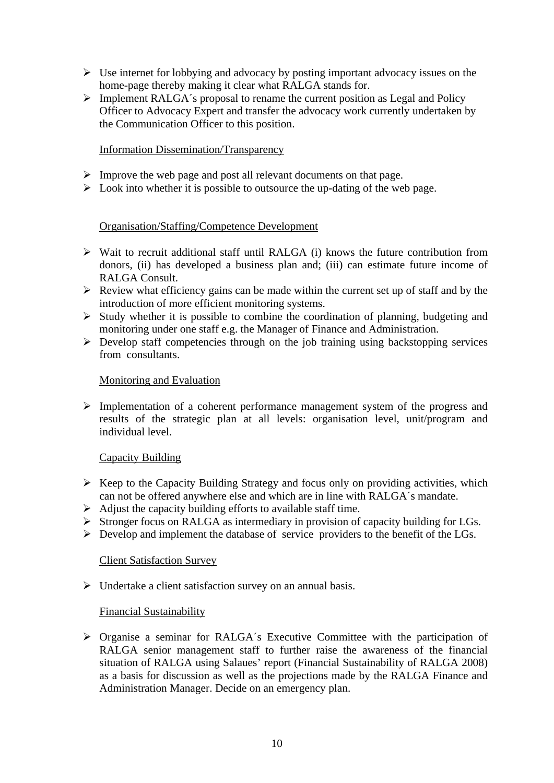- $\triangleright$  Use internet for lobbying and advocacy by posting important advocacy issues on the home-page thereby making it clear what RALGA stands for.
- $\triangleright$  Implement RALGA´s proposal to rename the current position as Legal and Policy Officer to Advocacy Expert and transfer the advocacy work currently undertaken by the Communication Officer to this position.

#### Information Dissemination/Transparency

- $\triangleright$  Improve the web page and post all relevant documents on that page.
- $\triangleright$  Look into whether it is possible to outsource the up-dating of the web page.

## Organisation/Staffing/Competence Development

- $\triangleright$  Wait to recruit additional staff until RALGA (i) knows the future contribution from donors, (ii) has developed a business plan and; (iii) can estimate future income of RALGA Consult.
- $\triangleright$  Review what efficiency gains can be made within the current set up of staff and by the introduction of more efficient monitoring systems.
- $\triangleright$  Study whether it is possible to combine the coordination of planning, budgeting and monitoring under one staff e.g. the Manager of Finance and Administration.
- $\triangleright$  Develop staff competencies through on the job training using backstopping services from consultants.

#### Monitoring and Evaluation

 $\triangleright$  Implementation of a coherent performance management system of the progress and results of the strategic plan at all levels: organisation level, unit/program and individual level.

#### Capacity Building

- $\triangleright$  Keep to the Capacity Building Strategy and focus only on providing activities, which can not be offered anywhere else and which are in line with RALGA´s mandate.
- $\triangleright$  Adjust the capacity building efforts to available staff time.
- ¾ Stronger focus on RALGA as intermediary in provision of capacity building for LGs.
- $\triangleright$  Develop and implement the database of service providers to the benefit of the LGs.

#### Client Satisfaction Survey

 $\triangleright$  Undertake a client satisfaction survey on an annual basis.

#### Financial Sustainability

¾ Organise a seminar for RALGA´s Executive Committee with the participation of RALGA senior management staff to further raise the awareness of the financial situation of RALGA using Salaues' report (Financial Sustainability of RALGA 2008) as a basis for discussion as well as the projections made by the RALGA Finance and Administration Manager. Decide on an emergency plan.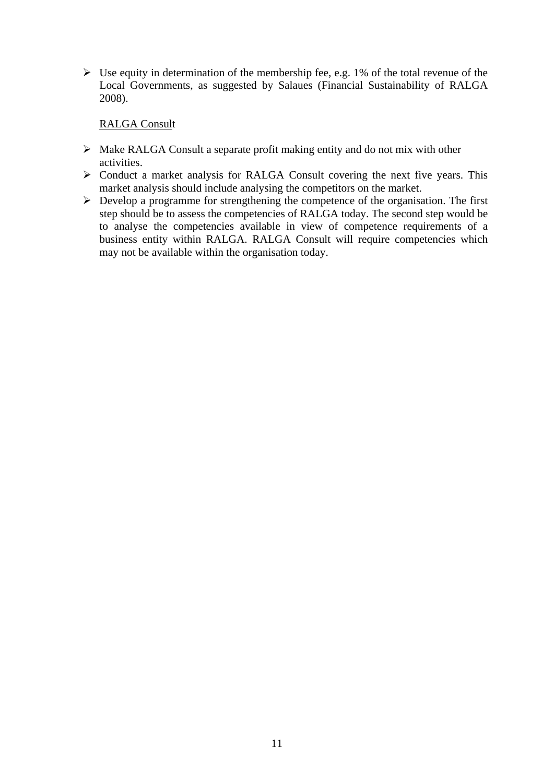$\triangleright$  Use equity in determination of the membership fee, e.g. 1% of the total revenue of the Local Governments, as suggested by Salaues (Financial Sustainability of RALGA 2008).

#### RALGA Consult

- $\triangleright$  Make RALGA Consult a separate profit making entity and do not mix with other activities.
- $\triangleright$  Conduct a market analysis for RALGA Consult covering the next five years. This market analysis should include analysing the competitors on the market.
- $\triangleright$  Develop a programme for strengthening the competence of the organisation. The first step should be to assess the competencies of RALGA today. The second step would be to analyse the competencies available in view of competence requirements of a business entity within RALGA. RALGA Consult will require competencies which may not be available within the organisation today.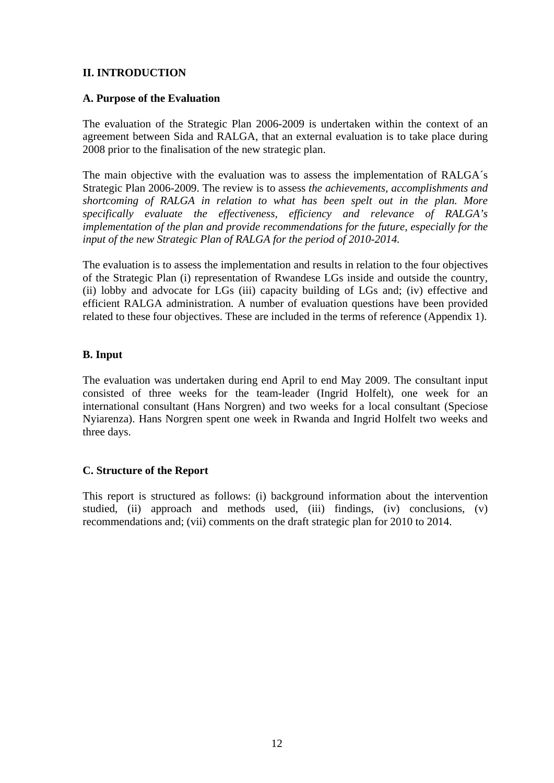## <span id="page-11-0"></span>**II. INTRODUCTION**

#### **A. Purpose of the Evaluation**

The evaluation of the Strategic Plan 2006-2009 is undertaken within the context of an agreement between Sida and RALGA, that an external evaluation is to take place during 2008 prior to the finalisation of the new strategic plan.

The main objective with the evaluation was to assess the implementation of RALGA´s Strategic Plan 2006-2009. The review is to assess *the achievements, accomplishments and shortcoming of RALGA in relation to what has been spelt out in the plan. More specifically evaluate the effectiveness, efficiency and relevance of RALGA's implementation of the plan and provide recommendations for the future, especially for the input of the new Strategic Plan of RALGA for the period of 2010-2014.* 

The evaluation is to assess the implementation and results in relation to the four objectives of the Strategic Plan (i) representation of Rwandese LGs inside and outside the country, (ii) lobby and advocate for LGs (iii) capacity building of LGs and; (iv) effective and efficient RALGA administration. A number of evaluation questions have been provided related to these four objectives. These are included in the terms of reference (Appendix 1).

## **B. Input**

The evaluation was undertaken during end April to end May 2009. The consultant input consisted of three weeks for the team-leader (Ingrid Holfelt), one week for an international consultant (Hans Norgren) and two weeks for a local consultant (Speciose Nyiarenza). Hans Norgren spent one week in Rwanda and Ingrid Holfelt two weeks and three days.

## **C. Structure of the Report**

This report is structured as follows: (i) background information about the intervention studied, (ii) approach and methods used, (iii) findings, (iv) conclusions, (v) recommendations and; (vii) comments on the draft strategic plan for 2010 to 2014.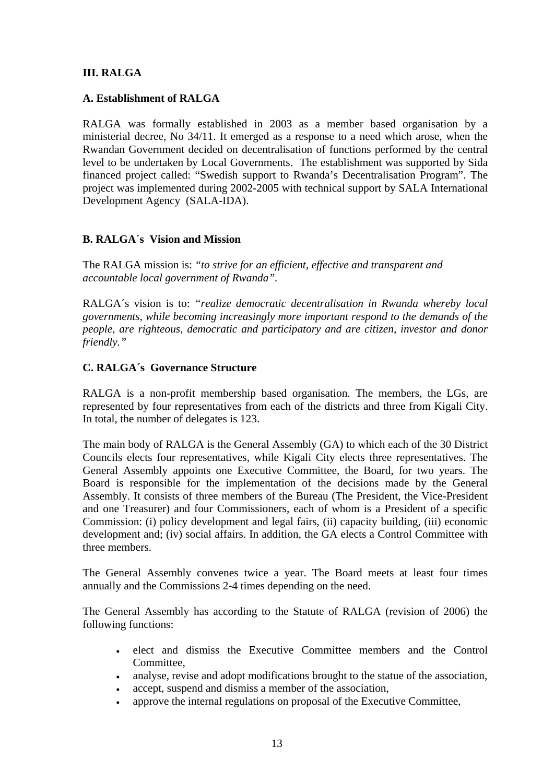## <span id="page-12-0"></span>**III. RALGA**

#### **A. Establishment of RALGA**

RALGA was formally established in 2003 as a member based organisation by a ministerial decree, No 34/11. It emerged as a response to a need which arose, when the Rwandan Government decided on decentralisation of functions performed by the central level to be undertaken by Local Governments. The establishment was supported by Sida financed project called: "Swedish support to Rwanda's Decentralisation Program". The project was implemented during 2002-2005 with technical support by SALA International Development Agency (SALA-IDA).

## **B. RALGA´s Vision and Mission**

The RALGA mission is: *"to strive for an efficient, effective and transparent and accountable local government of Rwanda".*

RALGA´s vision is to: *"realize democratic decentralisation in Rwanda whereby local governments, while becoming increasingly more important respond to the demands of the people, are righteous, democratic and participatory and are citizen, investor and donor friendly."* 

## **C. RALGA´s Governance Structure**

RALGA is a non-profit membership based organisation. The members, the LGs, are represented by four representatives from each of the districts and three from Kigali City. In total, the number of delegates is 123.

The main body of RALGA is the General Assembly (GA) to which each of the 30 District Councils elects four representatives, while Kigali City elects three representatives. The General Assembly appoints one Executive Committee, the Board, for two years. The Board is responsible for the implementation of the decisions made by the General Assembly. It consists of three members of the Bureau (The President, the Vice-President and one Treasurer) and four Commissioners, each of whom is a President of a specific Commission: (i) policy development and legal fairs, (ii) capacity building, (iii) economic development and; (iv) social affairs. In addition, the GA elects a Control Committee with three members.

The General Assembly convenes twice a year. The Board meets at least four times annually and the Commissions 2-4 times depending on the need.

The General Assembly has according to the Statute of RALGA (revision of 2006) the following functions:

- elect and dismiss the Executive Committee members and the Control Committee,
- analyse, revise and adopt modifications brought to the statue of the association,
- accept, suspend and dismiss a member of the association.
- approve the internal regulations on proposal of the Executive Committee,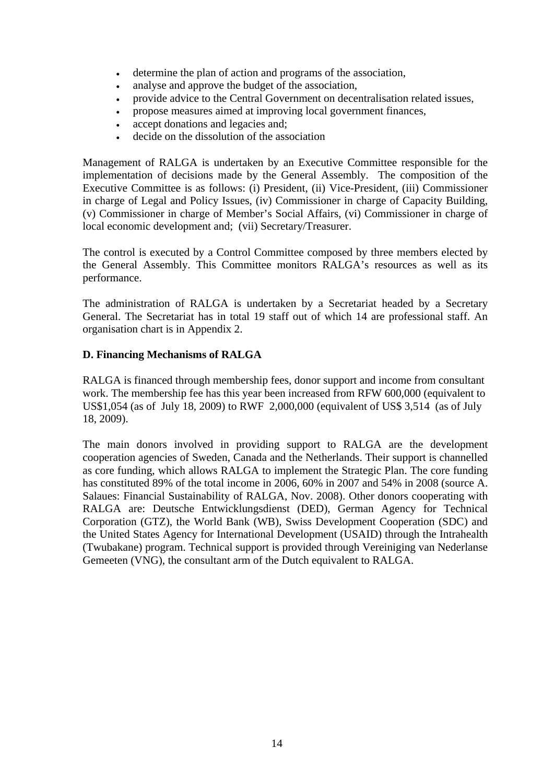- <span id="page-13-0"></span>• determine the plan of action and programs of the association,
- analyse and approve the budget of the association,
- provide advice to the Central Government on decentralisation related issues,
- propose measures aimed at improving local government finances,
- accept donations and legacies and;
- decide on the dissolution of the association

Management of RALGA is undertaken by an Executive Committee responsible for the implementation of decisions made by the General Assembly. The composition of the Executive Committee is as follows: (i) President, (ii) Vice-President, (iii) Commissioner in charge of Legal and Policy Issues, (iv) Commissioner in charge of Capacity Building, (v) Commissioner in charge of Member's Social Affairs, (vi) Commissioner in charge of local economic development and; (vii) Secretary/Treasurer.

The control is executed by a Control Committee composed by three members elected by the General Assembly. This Committee monitors RALGA's resources as well as its performance.

The administration of RALGA is undertaken by a Secretariat headed by a Secretary General. The Secretariat has in total 19 staff out of which 14 are professional staff. An organisation chart is in Appendix 2.

## **D. Financing Mechanisms of RALGA**

RALGA is financed through membership fees, donor support and income from consultant work. The membership fee has this year been increased from RFW 600,000 (equivalent to US\$1,054 (as of July 18, 2009) to RWF 2,000,000 (equivalent of US\$ 3,514 (as of July 18, 2009).

The main donors involved in providing support to RALGA are the development cooperation agencies of Sweden, Canada and the Netherlands. Their support is channelled as core funding, which allows RALGA to implement the Strategic Plan. The core funding has constituted 89% of the total income in 2006, 60% in 2007 and 54% in 2008 (source A. Salaues: Financial Sustainability of RALGA, Nov. 2008). Other donors cooperating with RALGA are: Deutsche Entwicklungsdienst (DED), German Agency for Technical Corporation (GTZ), the World Bank (WB), Swiss Development Cooperation (SDC) and the United States Agency for International Development (USAID) through the Intrahealth (Twubakane) program. Technical support is provided through Vereiniging van Nederlanse Gemeeten (VNG), the consultant arm of the Dutch equivalent to RALGA.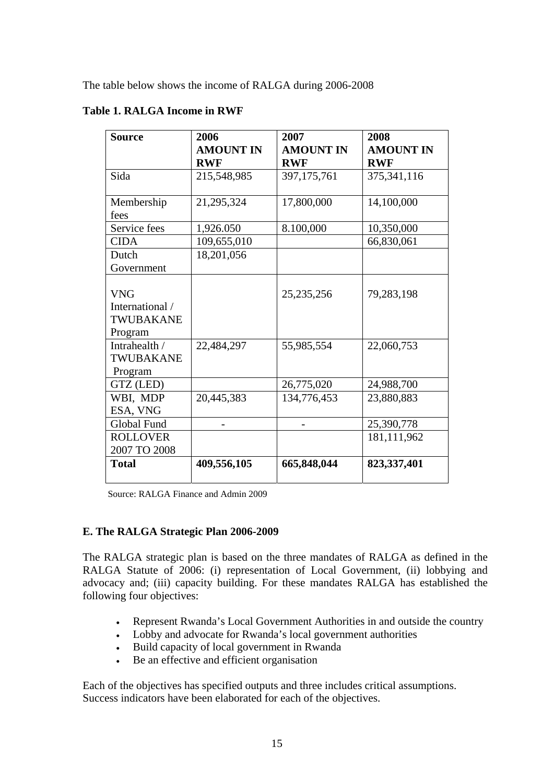<span id="page-14-0"></span>The table below shows the income of RALGA during 2006-2008

| <b>Source</b>   | 2006<br><b>AMOUNT IN</b> | 2007<br><b>AMOUNT IN</b> | 2008<br><b>AMOUNT IN</b> |
|-----------------|--------------------------|--------------------------|--------------------------|
|                 | <b>RWF</b>               | <b>RWF</b>               | <b>RWF</b>               |
| Sida            | 215,548,985              | 397, 175, 761            | 375,341,116              |
| Membership      | 21,295,324               | 17,800,000               | 14,100,000               |
| fees            |                          |                          |                          |
| Service fees    | 1,926.050                | 8.100,000                | 10,350,000               |
| <b>CIDA</b>     | 109,655,010              |                          | 66,830,061               |
| Dutch           | 18,201,056               |                          |                          |
| Government      |                          |                          |                          |
|                 |                          |                          |                          |
| <b>VNG</b>      |                          | 25, 235, 256             | 79,283,198               |
| International / |                          |                          |                          |
| TWUBAKANE       |                          |                          |                          |
| Program         |                          |                          |                          |
| Intrahealth /   | 22,484,297               | 55,985,554               | 22,060,753               |
| TWUBAKANE       |                          |                          |                          |
| Program         |                          |                          |                          |
| GTZ (LED)       |                          | 26,775,020               | 24,988,700               |
| WBI, MDP        | 20,445,383               | 134,776,453              | 23,880,883               |
| ESA, VNG        |                          |                          |                          |
| Global Fund     |                          |                          | 25,390,778               |
| <b>ROLLOVER</b> |                          |                          | 181,111,962              |
| 2007 TO 2008    |                          |                          |                          |
| <b>Total</b>    | 409,556,105              | 665,848,044              | 823,337,401              |

# **Table 1. RALGA Income in RWF**

Source: RALGA Finance and Admin 2009

#### **E. The RALGA Strategic Plan 2006-2009**

The RALGA strategic plan is based on the three mandates of RALGA as defined in the RALGA Statute of 2006: (i) representation of Local Government, (ii) lobbying and advocacy and; (iii) capacity building. For these mandates RALGA has established the following four objectives:

- Represent Rwanda's Local Government Authorities in and outside the country
- Lobby and advocate for Rwanda's local government authorities
- Build capacity of local government in Rwanda
- Be an effective and efficient organisation

Each of the objectives has specified outputs and three includes critical assumptions. Success indicators have been elaborated for each of the objectives.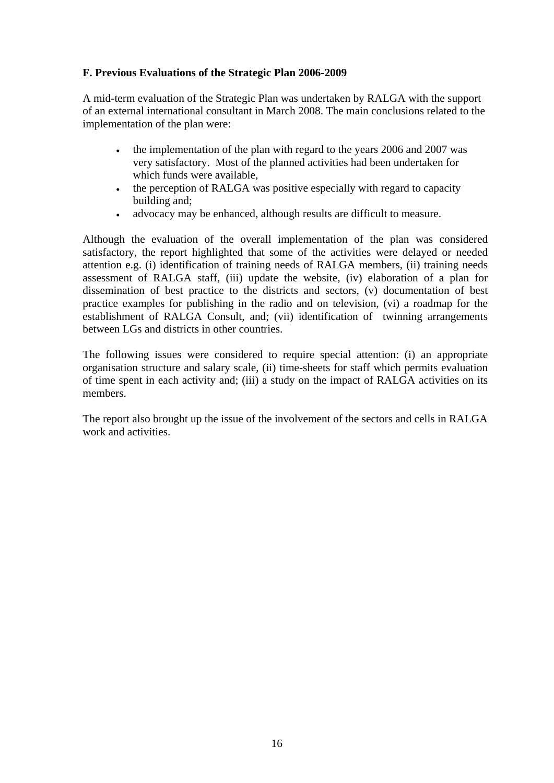# <span id="page-15-0"></span>**F. Previous Evaluations of the Strategic Plan 2006-2009**

A mid-term evaluation of the Strategic Plan was undertaken by RALGA with the support of an external international consultant in March 2008. The main conclusions related to the implementation of the plan were:

- the implementation of the plan with regard to the years 2006 and 2007 was very satisfactory. Most of the planned activities had been undertaken for which funds were available,
- the perception of RALGA was positive especially with regard to capacity building and;
- advocacy may be enhanced, although results are difficult to measure.

Although the evaluation of the overall implementation of the plan was considered satisfactory, the report highlighted that some of the activities were delayed or needed attention e.g. (i) identification of training needs of RALGA members, (ii) training needs assessment of RALGA staff, (iii) update the website, (iv) elaboration of a plan for dissemination of best practice to the districts and sectors, (v) documentation of best practice examples for publishing in the radio and on television, (vi) a roadmap for the establishment of RALGA Consult, and; (vii) identification of twinning arrangements between LGs and districts in other countries.

The following issues were considered to require special attention: (i) an appropriate organisation structure and salary scale, (ii) time-sheets for staff which permits evaluation of time spent in each activity and; (iii) a study on the impact of RALGA activities on its members.

The report also brought up the issue of the involvement of the sectors and cells in RALGA work and activities.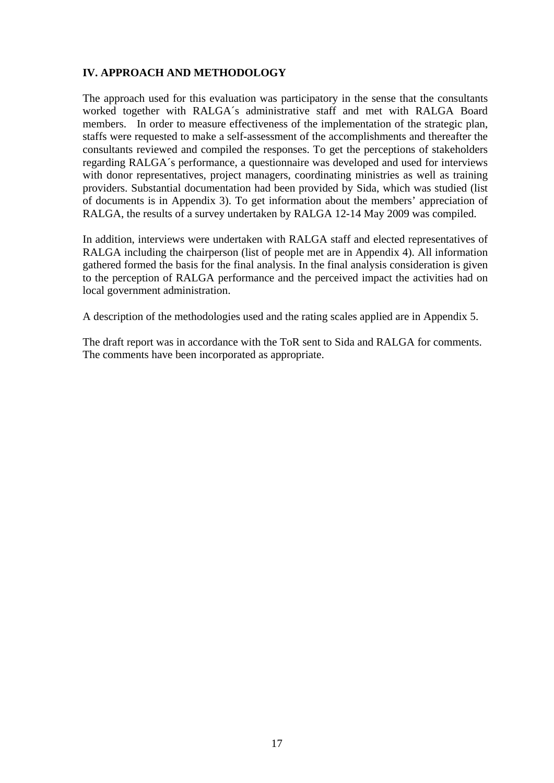## <span id="page-16-0"></span>**IV. APPROACH AND METHODOLOGY**

The approach used for this evaluation was participatory in the sense that the consultants worked together with RALGA´s administrative staff and met with RALGA Board members. In order to measure effectiveness of the implementation of the strategic plan, staffs were requested to make a self-assessment of the accomplishments and thereafter the consultants reviewed and compiled the responses. To get the perceptions of stakeholders regarding RALGA´s performance, a questionnaire was developed and used for interviews with donor representatives, project managers, coordinating ministries as well as training providers. Substantial documentation had been provided by Sida, which was studied (list of documents is in Appendix 3). To get information about the members' appreciation of RALGA, the results of a survey undertaken by RALGA 12-14 May 2009 was compiled.

In addition, interviews were undertaken with RALGA staff and elected representatives of RALGA including the chairperson (list of people met are in Appendix 4). All information gathered formed the basis for the final analysis. In the final analysis consideration is given to the perception of RALGA performance and the perceived impact the activities had on local government administration.

A description of the methodologies used and the rating scales applied are in Appendix 5.

The draft report was in accordance with the ToR sent to Sida and RALGA for comments. The comments have been incorporated as appropriate.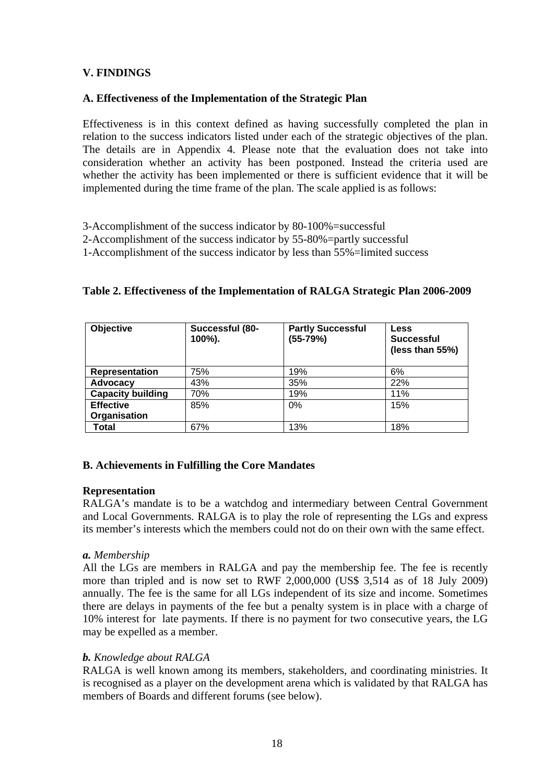# <span id="page-17-0"></span>**V. FINDINGS**

#### **A. Effectiveness of the Implementation of the Strategic Plan**

Effectiveness is in this context defined as having successfully completed the plan in relation to the success indicators listed under each of the strategic objectives of the plan. The details are in Appendix 4. Please note that the evaluation does not take into consideration whether an activity has been postponed. Instead the criteria used are whether the activity has been implemented or there is sufficient evidence that it will be implemented during the time frame of the plan. The scale applied is as follows:

3-Accomplishment of the success indicator by 80-100%=successful

2-Accomplishment of the success indicator by 55-80%=partly successful

1-Accomplishment of the success indicator by less than 55%=limited success

## **Table 2. Effectiveness of the Implementation of RALGA Strategic Plan 2006-2009**

| Objective                | Successful (80-<br>100%). | <b>Partly Successful</b><br>$(55-79%)$ | <b>Less</b><br><b>Successful</b><br>(less than 55%) |
|--------------------------|---------------------------|----------------------------------------|-----------------------------------------------------|
| Representation           | 75%                       | 19%                                    | 6%                                                  |
| Advocacy                 | 43%                       | 35%                                    | 22%                                                 |
| <b>Capacity building</b> | 70%                       | 19%                                    | 11%                                                 |
| <b>Effective</b>         | 85%                       | $0\%$                                  | 15%                                                 |
| Organisation             |                           |                                        |                                                     |
| Total                    | 67%                       | 13%                                    | 18%                                                 |

## **B. Achievements in Fulfilling the Core Mandates**

#### **Representation**

RALGA's mandate is to be a watchdog and intermediary between Central Government and Local Governments. RALGA is to play the role of representing the LGs and express its member's interests which the members could not do on their own with the same effect.

#### *a. Membership*

All the LGs are members in RALGA and pay the membership fee. The fee is recently more than tripled and is now set to RWF 2,000,000 (US\$ 3,514 as of 18 July 2009) annually. The fee is the same for all LGs independent of its size and income. Sometimes there are delays in payments of the fee but a penalty system is in place with a charge of 10% interest for late payments. If there is no payment for two consecutive years, the LG may be expelled as a member.

## *b. Knowledge about RALGA*

RALGA is well known among its members, stakeholders, and coordinating ministries. It is recognised as a player on the development arena which is validated by that RALGA has members of Boards and different forums (see below).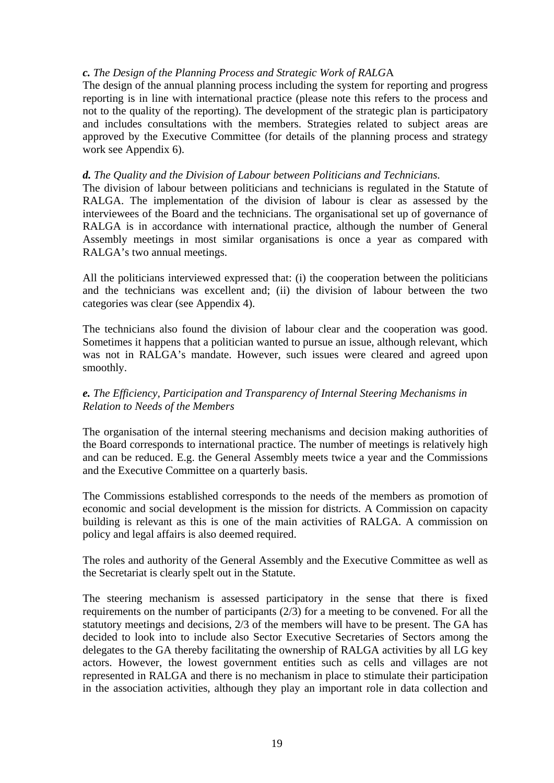#### *c. The Design of the Planning Process and Strategic Work of RALG*A

The design of the annual planning process including the system for reporting and progress reporting is in line with international practice (please note this refers to the process and not to the quality of the reporting). The development of the strategic plan is participatory and includes consultations with the members. Strategies related to subject areas are approved by the Executive Committee (for details of the planning process and strategy work see Appendix 6).

#### *d. The Quality and the Division of Labour between Politicians and Technicians.*

The division of labour between politicians and technicians is regulated in the Statute of RALGA. The implementation of the division of labour is clear as assessed by the interviewees of the Board and the technicians. The organisational set up of governance of RALGA is in accordance with international practice, although the number of General Assembly meetings in most similar organisations is once a year as compared with RALGA's two annual meetings.

All the politicians interviewed expressed that: (i) the cooperation between the politicians and the technicians was excellent and; (ii) the division of labour between the two categories was clear (see Appendix 4).

The technicians also found the division of labour clear and the cooperation was good. Sometimes it happens that a politician wanted to pursue an issue, although relevant, which was not in RALGA's mandate. However, such issues were cleared and agreed upon smoothly.

## *e. The Efficiency, Participation and Transparency of Internal Steering Mechanisms in Relation to Needs of the Members*

The organisation of the internal steering mechanisms and decision making authorities of the Board corresponds to international practice. The number of meetings is relatively high and can be reduced. E.g. the General Assembly meets twice a year and the Commissions and the Executive Committee on a quarterly basis.

The Commissions established corresponds to the needs of the members as promotion of economic and social development is the mission for districts. A Commission on capacity building is relevant as this is one of the main activities of RALGA. A commission on policy and legal affairs is also deemed required.

The roles and authority of the General Assembly and the Executive Committee as well as the Secretariat is clearly spelt out in the Statute.

The steering mechanism is assessed participatory in the sense that there is fixed requirements on the number of participants (2/3) for a meeting to be convened. For all the statutory meetings and decisions, 2/3 of the members will have to be present. The GA has decided to look into to include also Sector Executive Secretaries of Sectors among the delegates to the GA thereby facilitating the ownership of RALGA activities by all LG key actors. However, the lowest government entities such as cells and villages are not represented in RALGA and there is no mechanism in place to stimulate their participation in the association activities, although they play an important role in data collection and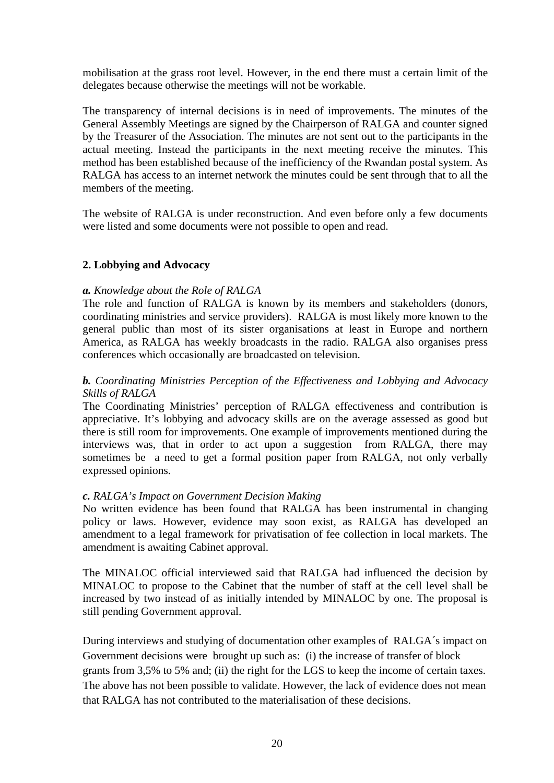mobilisation at the grass root level. However, in the end there must a certain limit of the delegates because otherwise the meetings will not be workable.

The transparency of internal decisions is in need of improvements. The minutes of the General Assembly Meetings are signed by the Chairperson of RALGA and counter signed by the Treasurer of the Association. The minutes are not sent out to the participants in the actual meeting. Instead the participants in the next meeting receive the minutes. This method has been established because of the inefficiency of the Rwandan postal system. As RALGA has access to an internet network the minutes could be sent through that to all the members of the meeting.

The website of RALGA is under reconstruction. And even before only a few documents were listed and some documents were not possible to open and read.

#### **2. Lobbying and Advocacy**

#### *a. Knowledge about the Role of RALGA*

The role and function of RALGA is known by its members and stakeholders (donors, coordinating ministries and service providers). RALGA is most likely more known to the general public than most of its sister organisations at least in Europe and northern America, as RALGA has weekly broadcasts in the radio. RALGA also organises press conferences which occasionally are broadcasted on television.

#### *b. Coordinating Ministries Perception of the Effectiveness and Lobbying and Advocacy Skills of RALGA*

The Coordinating Ministries' perception of RALGA effectiveness and contribution is appreciative. It's lobbying and advocacy skills are on the average assessed as good but there is still room for improvements. One example of improvements mentioned during the interviews was, that in order to act upon a suggestion from RALGA, there may sometimes be a need to get a formal position paper from RALGA, not only verbally expressed opinions.

#### *c. RALGA's Impact on Government Decision Making*

No written evidence has been found that RALGA has been instrumental in changing policy or laws. However, evidence may soon exist, as RALGA has developed an amendment to a legal framework for privatisation of fee collection in local markets. The amendment is awaiting Cabinet approval.

The MINALOC official interviewed said that RALGA had influenced the decision by MINALOC to propose to the Cabinet that the number of staff at the cell level shall be increased by two instead of as initially intended by MINALOC by one. The proposal is still pending Government approval.

During interviews and studying of documentation other examples of RALGA´s impact on Government decisions were brought up such as: (i) the increase of transfer of block grants from 3,5% to 5% and; (ii) the right for the LGS to keep the income of certain taxes. The above has not been possible to validate. However, the lack of evidence does not mean that RALGA has not contributed to the materialisation of these decisions.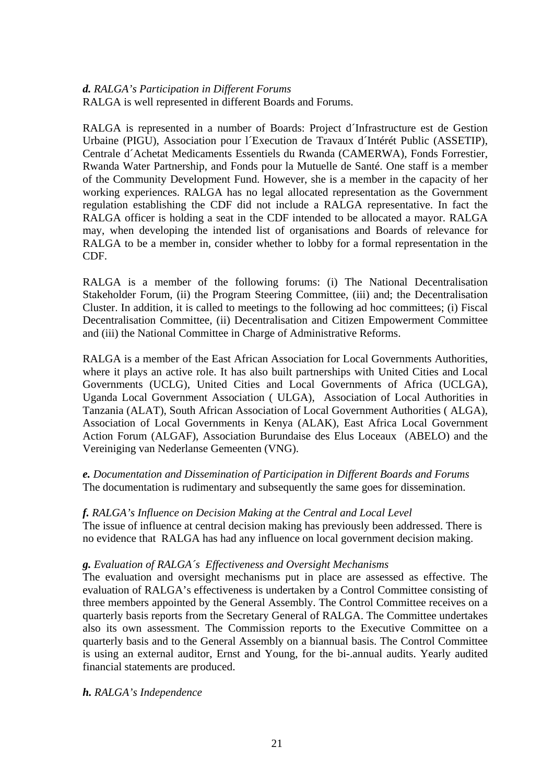#### *d. RALGA's Participation in Different Forums*  RALGA is well represented in different Boards and Forums.

RALGA is represented in a number of Boards: Project d´Infrastructure est de Gestion Urbaine (PIGU), Association pour l´Execution de Travaux d´Intérét Public (ASSETIP), Centrale d´Achetat Medicaments Essentiels du Rwanda (CAMERWA), Fonds Forrestier, Rwanda Water Partnership, and Fonds pour la Mutuelle de Santé. One staff is a member of the Community Development Fund. However, she is a member in the capacity of her working experiences. RALGA has no legal allocated representation as the Government regulation establishing the CDF did not include a RALGA representative. In fact the RALGA officer is holding a seat in the CDF intended to be allocated a mayor. RALGA may, when developing the intended list of organisations and Boards of relevance for RALGA to be a member in, consider whether to lobby for a formal representation in the CDF.

RALGA is a member of the following forums: (i) The National Decentralisation Stakeholder Forum, (ii) the Program Steering Committee, (iii) and; the Decentralisation Cluster. In addition, it is called to meetings to the following ad hoc committees; (i) Fiscal Decentralisation Committee, (ii) Decentralisation and Citizen Empowerment Committee and (iii) the National Committee in Charge of Administrative Reforms.

RALGA is a member of the East African Association for Local Governments Authorities, where it plays an active role. It has also built partnerships with United Cities and Local Governments (UCLG), United Cities and Local Governments of Africa (UCLGA), Uganda Local Government Association ( ULGA), Association of Local Authorities in Tanzania (ALAT), South African Association of Local Government Authorities ( ALGA), Association of Local Governments in Kenya (ALAK), East Africa Local Government Action Forum (ALGAF), Association Burundaise des Elus Loceaux (ABELO) and the Vereiniging van Nederlanse Gemeenten (VNG).

*e. Documentation and Dissemination of Participation in Different Boards and Forums* The documentation is rudimentary and subsequently the same goes for dissemination.

# *f. RALGA's Influence on Decision Making at the Central and Local Level*

The issue of influence at central decision making has previously been addressed. There is no evidence that RALGA has had any influence on local government decision making.

#### *g. Evaluation of RALGA´s Effectiveness and Oversight Mechanisms*

The evaluation and oversight mechanisms put in place are assessed as effective. The evaluation of RALGA's effectiveness is undertaken by a Control Committee consisting of three members appointed by the General Assembly. The Control Committee receives on a quarterly basis reports from the Secretary General of RALGA. The Committee undertakes also its own assessment. The Commission reports to the Executive Committee on a quarterly basis and to the General Assembly on a biannual basis. The Control Committee is using an external auditor, Ernst and Young, for the bi-.annual audits. Yearly audited financial statements are produced.

#### *h. RALGA's Independence*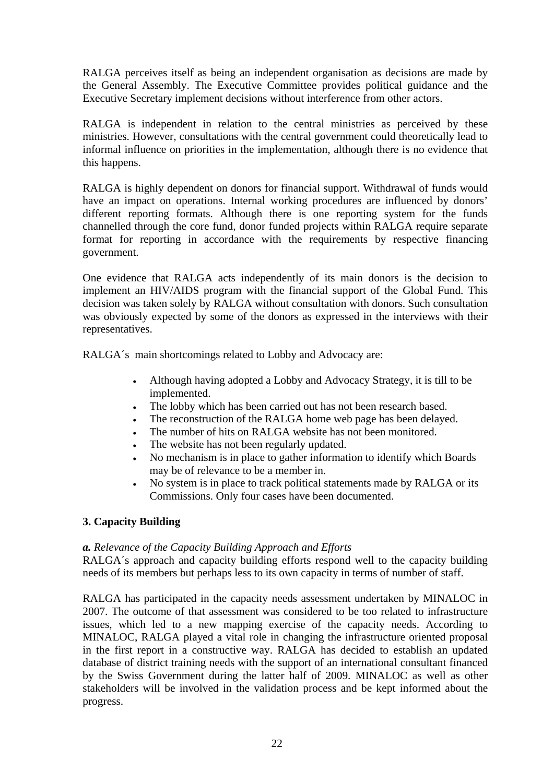RALGA perceives itself as being an independent organisation as decisions are made by the General Assembly. The Executive Committee provides political guidance and the Executive Secretary implement decisions without interference from other actors.

RALGA is independent in relation to the central ministries as perceived by these ministries. However, consultations with the central government could theoretically lead to informal influence on priorities in the implementation, although there is no evidence that this happens.

RALGA is highly dependent on donors for financial support. Withdrawal of funds would have an impact on operations. Internal working procedures are influenced by donors' different reporting formats. Although there is one reporting system for the funds channelled through the core fund, donor funded projects within RALGA require separate format for reporting in accordance with the requirements by respective financing government.

One evidence that RALGA acts independently of its main donors is the decision to implement an HIV/AIDS program with the financial support of the Global Fund. This decision was taken solely by RALGA without consultation with donors. Such consultation was obviously expected by some of the donors as expressed in the interviews with their representatives.

RALGA´s main shortcomings related to Lobby and Advocacy are:

- Although having adopted a Lobby and Advocacy Strategy, it is till to be implemented.
- The lobby which has been carried out has not been research based.
- The reconstruction of the RALGA home web page has been delayed.
- The number of hits on RALGA website has not been monitored.
- The website has not been regularly updated.
- No mechanism is in place to gather information to identify which Boards may be of relevance to be a member in.
- No system is in place to track political statements made by RALGA or its Commissions. Only four cases have been documented.

## **3. Capacity Building**

#### *a. Relevance of the Capacity Building Approach and Efforts*

RALGA´s approach and capacity building efforts respond well to the capacity building needs of its members but perhaps less to its own capacity in terms of number of staff.

RALGA has participated in the capacity needs assessment undertaken by MINALOC in 2007. The outcome of that assessment was considered to be too related to infrastructure issues, which led to a new mapping exercise of the capacity needs. According to MINALOC, RALGA played a vital role in changing the infrastructure oriented proposal in the first report in a constructive way. RALGA has decided to establish an updated database of district training needs with the support of an international consultant financed by the Swiss Government during the latter half of 2009. MINALOC as well as other stakeholders will be involved in the validation process and be kept informed about the progress.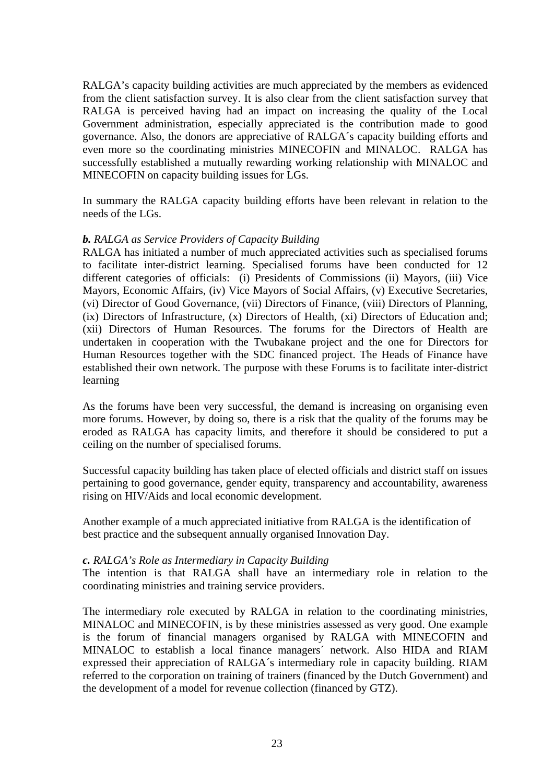RALGA's capacity building activities are much appreciated by the members as evidenced from the client satisfaction survey. It is also clear from the client satisfaction survey that RALGA is perceived having had an impact on increasing the quality of the Local Government administration, especially appreciated is the contribution made to good governance. Also, the donors are appreciative of RALGA´s capacity building efforts and even more so the coordinating ministries MINECOFIN and MINALOC. RALGA has successfully established a mutually rewarding working relationship with MINALOC and MINECOFIN on capacity building issues for LGs.

In summary the RALGA capacity building efforts have been relevant in relation to the needs of the LGs.

#### *b. RALGA as Service Providers of Capacity Building*

RALGA has initiated a number of much appreciated activities such as specialised forums to facilitate inter-district learning. Specialised forums have been conducted for 12 different categories of officials: (i) Presidents of Commissions (ii) Mayors, (iii) Vice Mayors, Economic Affairs, (iv) Vice Mayors of Social Affairs, (v) Executive Secretaries, (vi) Director of Good Governance, (vii) Directors of Finance, (viii) Directors of Planning, (ix) Directors of Infrastructure, (x) Directors of Health, (xi) Directors of Education and; (xii) Directors of Human Resources. The forums for the Directors of Health are undertaken in cooperation with the Twubakane project and the one for Directors for Human Resources together with the SDC financed project. The Heads of Finance have established their own network. The purpose with these Forums is to facilitate inter-district learning

As the forums have been very successful, the demand is increasing on organising even more forums. However, by doing so, there is a risk that the quality of the forums may be eroded as RALGA has capacity limits, and therefore it should be considered to put a ceiling on the number of specialised forums.

Successful capacity building has taken place of elected officials and district staff on issues pertaining to good governance, gender equity, transparency and accountability, awareness rising on HIV/Aids and local economic development.

Another example of a much appreciated initiative from RALGA is the identification of best practice and the subsequent annually organised Innovation Day.

#### *c. RALGA's Role as Intermediary in Capacity Building*

The intention is that RALGA shall have an intermediary role in relation to the coordinating ministries and training service providers.

The intermediary role executed by RALGA in relation to the coordinating ministries, MINALOC and MINECOFIN, is by these ministries assessed as very good. One example is the forum of financial managers organised by RALGA with MINECOFIN and MINALOC to establish a local finance managers´ network. Also HIDA and RIAM expressed their appreciation of RALGA´s intermediary role in capacity building. RIAM referred to the corporation on training of trainers (financed by the Dutch Government) and the development of a model for revenue collection (financed by GTZ).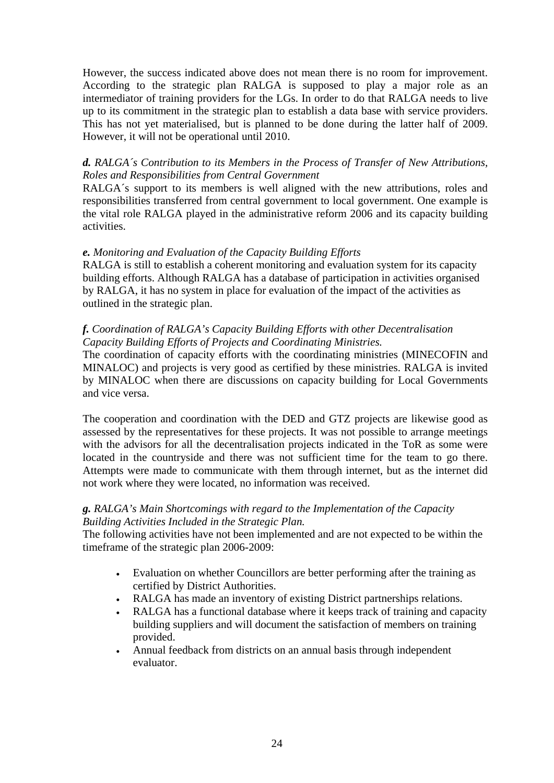However, the success indicated above does not mean there is no room for improvement. According to the strategic plan RALGA is supposed to play a major role as an intermediator of training providers for the LGs. In order to do that RALGA needs to live up to its commitment in the strategic plan to establish a data base with service providers. This has not yet materialised, but is planned to be done during the latter half of 2009. However, it will not be operational until 2010.

# *d. RALGA´s Contribution to its Members in the Process of Transfer of New Attributions, Roles and Responsibilities from Central Government*

RALGA´s support to its members is well aligned with the new attributions, roles and responsibilities transferred from central government to local government. One example is the vital role RALGA played in the administrative reform 2006 and its capacity building activities.

#### *e. Monitoring and Evaluation of the Capacity Building Efforts*

RALGA is still to establish a coherent monitoring and evaluation system for its capacity building efforts. Although RALGA has a database of participation in activities organised by RALGA, it has no system in place for evaluation of the impact of the activities as outlined in the strategic plan.

#### *f. Coordination of RALGA's Capacity Building Efforts with other Decentralisation Capacity Building Efforts of Projects and Coordinating Ministries.*

The coordination of capacity efforts with the coordinating ministries (MINECOFIN and MINALOC) and projects is very good as certified by these ministries. RALGA is invited by MINALOC when there are discussions on capacity building for Local Governments and vice versa.

The cooperation and coordination with the DED and GTZ projects are likewise good as assessed by the representatives for these projects. It was not possible to arrange meetings with the advisors for all the decentralisation projects indicated in the ToR as some were located in the countryside and there was not sufficient time for the team to go there. Attempts were made to communicate with them through internet, but as the internet did not work where they were located, no information was received.

## *g. RALGA's Main Shortcomings with regard to the Implementation of the Capacity Building Activities Included in the Strategic Plan.*

The following activities have not been implemented and are not expected to be within the timeframe of the strategic plan 2006-2009:

- Evaluation on whether Councillors are better performing after the training as certified by District Authorities.
- RALGA has made an inventory of existing District partnerships relations.
- RALGA has a functional database where it keeps track of training and capacity building suppliers and will document the satisfaction of members on training provided.
- Annual feedback from districts on an annual basis through independent evaluator.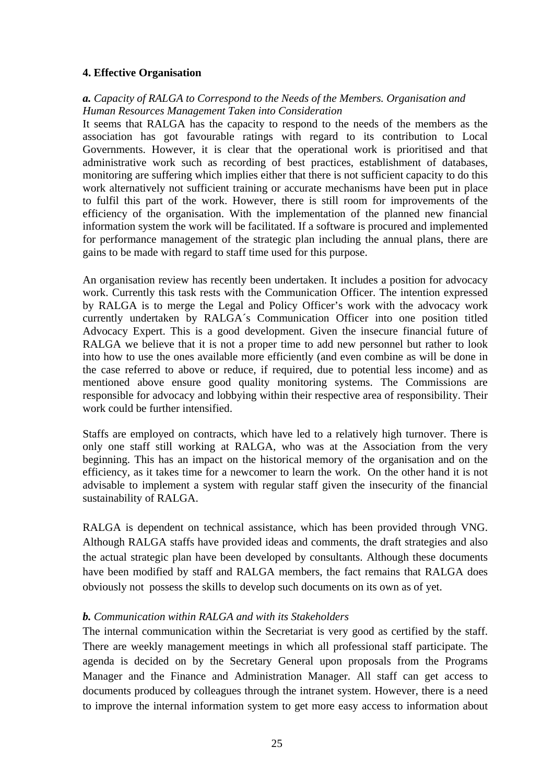#### **4. Effective Organisation**

## *a. Capacity of RALGA to Correspond to the Needs of the Members. Organisation and Human Resources Management Taken into Consideration*

It seems that RALGA has the capacity to respond to the needs of the members as the association has got favourable ratings with regard to its contribution to Local Governments. However, it is clear that the operational work is prioritised and that administrative work such as recording of best practices, establishment of databases, monitoring are suffering which implies either that there is not sufficient capacity to do this work alternatively not sufficient training or accurate mechanisms have been put in place to fulfil this part of the work. However, there is still room for improvements of the efficiency of the organisation. With the implementation of the planned new financial information system the work will be facilitated. If a software is procured and implemented for performance management of the strategic plan including the annual plans, there are gains to be made with regard to staff time used for this purpose.

An organisation review has recently been undertaken. It includes a position for advocacy work. Currently this task rests with the Communication Officer. The intention expressed by RALGA is to merge the Legal and Policy Officer's work with the advocacy work currently undertaken by RALGA´s Communication Officer into one position titled Advocacy Expert. This is a good development. Given the insecure financial future of RALGA we believe that it is not a proper time to add new personnel but rather to look into how to use the ones available more efficiently (and even combine as will be done in the case referred to above or reduce, if required, due to potential less income) and as mentioned above ensure good quality monitoring systems. The Commissions are responsible for advocacy and lobbying within their respective area of responsibility. Their work could be further intensified.

Staffs are employed on contracts, which have led to a relatively high turnover. There is only one staff still working at RALGA, who was at the Association from the very beginning. This has an impact on the historical memory of the organisation and on the efficiency, as it takes time for a newcomer to learn the work. On the other hand it is not advisable to implement a system with regular staff given the insecurity of the financial sustainability of RALGA.

RALGA is dependent on technical assistance, which has been provided through VNG. Although RALGA staffs have provided ideas and comments, the draft strategies and also the actual strategic plan have been developed by consultants. Although these documents have been modified by staff and RALGA members, the fact remains that RALGA does obviously not possess the skills to develop such documents on its own as of yet.

## *b. Communication within RALGA and with its Stakeholders*

The internal communication within the Secretariat is very good as certified by the staff. There are weekly management meetings in which all professional staff participate. The agenda is decided on by the Secretary General upon proposals from the Programs Manager and the Finance and Administration Manager. All staff can get access to documents produced by colleagues through the intranet system. However, there is a need to improve the internal information system to get more easy access to information about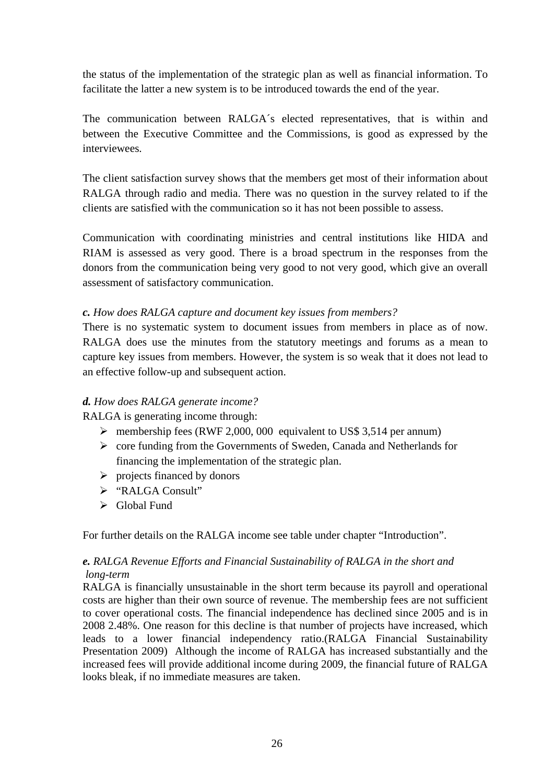the status of the implementation of the strategic plan as well as financial information. To facilitate the latter a new system is to be introduced towards the end of the year.

The communication between RALGA´s elected representatives, that is within and between the Executive Committee and the Commissions, is good as expressed by the interviewees.

The client satisfaction survey shows that the members get most of their information about RALGA through radio and media. There was no question in the survey related to if the clients are satisfied with the communication so it has not been possible to assess.

Communication with coordinating ministries and central institutions like HIDA and RIAM is assessed as very good. There is a broad spectrum in the responses from the donors from the communication being very good to not very good, which give an overall assessment of satisfactory communication.

#### *c. How does RALGA capture and document key issues from members?*

There is no systematic system to document issues from members in place as of now. RALGA does use the minutes from the statutory meetings and forums as a mean to capture key issues from members. However, the system is so weak that it does not lead to an effective follow-up and subsequent action.

## *d. How does RALGA generate income?*

RALGA is generating income through:

- $\triangleright$  membership fees (RWF 2,000, 000 equivalent to US\$ 3,514 per annum)
- $\triangleright$  core funding from the Governments of Sweden, Canada and Netherlands for financing the implementation of the strategic plan.
- $\triangleright$  projects financed by donors
- ¾ "RALGA Consult"
- $\triangleright$  Global Fund

For further details on the RALGA income see table under chapter "Introduction".

## *e. RALGA Revenue Efforts and Financial Sustainability of RALGA in the short and long-term*

RALGA is financially unsustainable in the short term because its payroll and operational costs are higher than their own source of revenue. The membership fees are not sufficient to cover operational costs. The financial independence has declined since 2005 and is in 2008 2.48%. One reason for this decline is that number of projects have increased, which leads to a lower financial independency ratio.(RALGA Financial Sustainability Presentation 2009) Although the income of RALGA has increased substantially and the increased fees will provide additional income during 2009, the financial future of RALGA looks bleak, if no immediate measures are taken.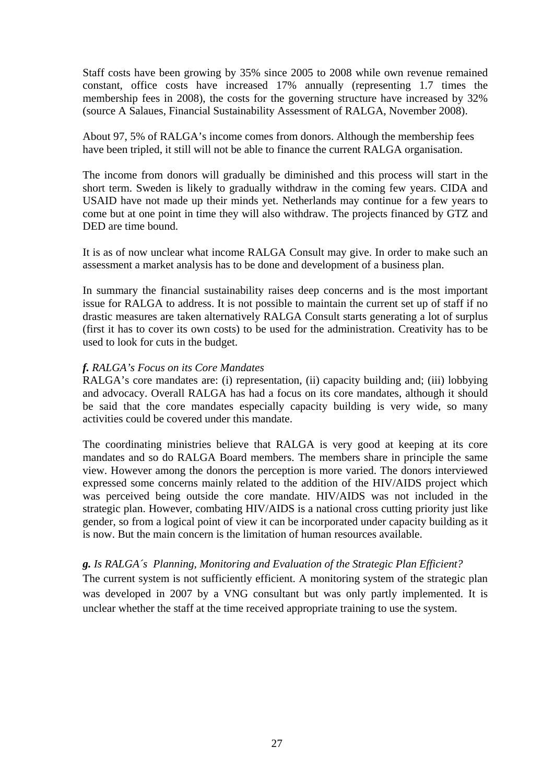Staff costs have been growing by 35% since 2005 to 2008 while own revenue remained constant, office costs have increased 17% annually (representing 1.7 times the membership fees in 2008), the costs for the governing structure have increased by 32% (source A Salaues, Financial Sustainability Assessment of RALGA, November 2008).

About 97, 5% of RALGA's income comes from donors. Although the membership fees have been tripled, it still will not be able to finance the current RALGA organisation.

The income from donors will gradually be diminished and this process will start in the short term. Sweden is likely to gradually withdraw in the coming few years. CIDA and USAID have not made up their minds yet. Netherlands may continue for a few years to come but at one point in time they will also withdraw. The projects financed by GTZ and DED are time bound.

It is as of now unclear what income RALGA Consult may give. In order to make such an assessment a market analysis has to be done and development of a business plan.

In summary the financial sustainability raises deep concerns and is the most important issue for RALGA to address. It is not possible to maintain the current set up of staff if no drastic measures are taken alternatively RALGA Consult starts generating a lot of surplus (first it has to cover its own costs) to be used for the administration. Creativity has to be used to look for cuts in the budget.

#### *f. RALGA's Focus on its Core Mandates*

RALGA's core mandates are: (i) representation, (ii) capacity building and; (iii) lobbying and advocacy. Overall RALGA has had a focus on its core mandates, although it should be said that the core mandates especially capacity building is very wide, so many activities could be covered under this mandate.

The coordinating ministries believe that RALGA is very good at keeping at its core mandates and so do RALGA Board members. The members share in principle the same view. However among the donors the perception is more varied. The donors interviewed expressed some concerns mainly related to the addition of the HIV/AIDS project which was perceived being outside the core mandate. HIV/AIDS was not included in the strategic plan. However, combating HIV/AIDS is a national cross cutting priority just like gender, so from a logical point of view it can be incorporated under capacity building as it is now. But the main concern is the limitation of human resources available.

#### *g. Is RALGA´s Planning, Monitoring and Evaluation of the Strategic Plan Efficient?*

The current system is not sufficiently efficient. A monitoring system of the strategic plan was developed in 2007 by a VNG consultant but was only partly implemented. It is unclear whether the staff at the time received appropriate training to use the system.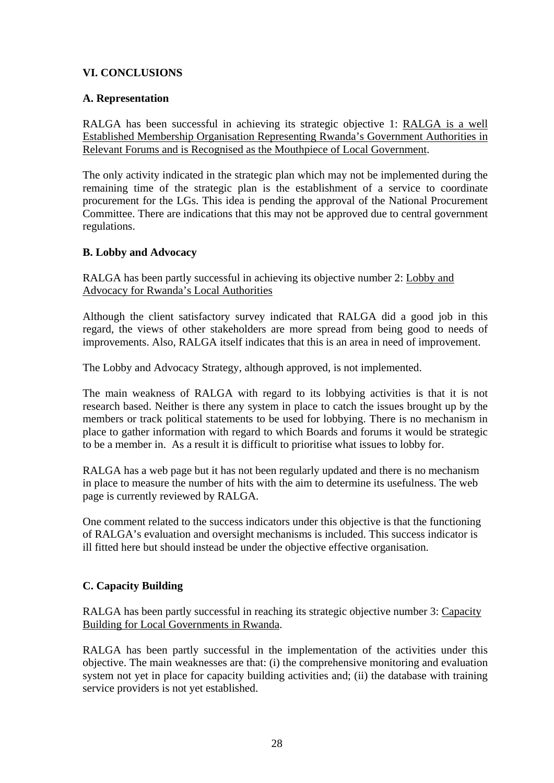# <span id="page-27-0"></span>**VI. CONCLUSIONS**

## **A. Representation**

RALGA has been successful in achieving its strategic objective 1: RALGA is a well Established Membership Organisation Representing Rwanda's Government Authorities in Relevant Forums and is Recognised as the Mouthpiece of Local Government.

The only activity indicated in the strategic plan which may not be implemented during the remaining time of the strategic plan is the establishment of a service to coordinate procurement for the LGs. This idea is pending the approval of the National Procurement Committee. There are indications that this may not be approved due to central government regulations.

## **B. Lobby and Advocacy**

RALGA has been partly successful in achieving its objective number 2: Lobby and Advocacy for Rwanda's Local Authorities

Although the client satisfactory survey indicated that RALGA did a good job in this regard, the views of other stakeholders are more spread from being good to needs of improvements. Also, RALGA itself indicates that this is an area in need of improvement.

The Lobby and Advocacy Strategy, although approved, is not implemented.

The main weakness of RALGA with regard to its lobbying activities is that it is not research based. Neither is there any system in place to catch the issues brought up by the members or track political statements to be used for lobbying. There is no mechanism in place to gather information with regard to which Boards and forums it would be strategic to be a member in. As a result it is difficult to prioritise what issues to lobby for.

RALGA has a web page but it has not been regularly updated and there is no mechanism in place to measure the number of hits with the aim to determine its usefulness. The web page is currently reviewed by RALGA.

One comment related to the success indicators under this objective is that the functioning of RALGA's evaluation and oversight mechanisms is included. This success indicator is ill fitted here but should instead be under the objective effective organisation.

## **C. Capacity Building**

RALGA has been partly successful in reaching its strategic objective number 3: Capacity Building for Local Governments in Rwanda.

RALGA has been partly successful in the implementation of the activities under this objective. The main weaknesses are that: (i) the comprehensive monitoring and evaluation system not yet in place for capacity building activities and; (ii) the database with training service providers is not yet established.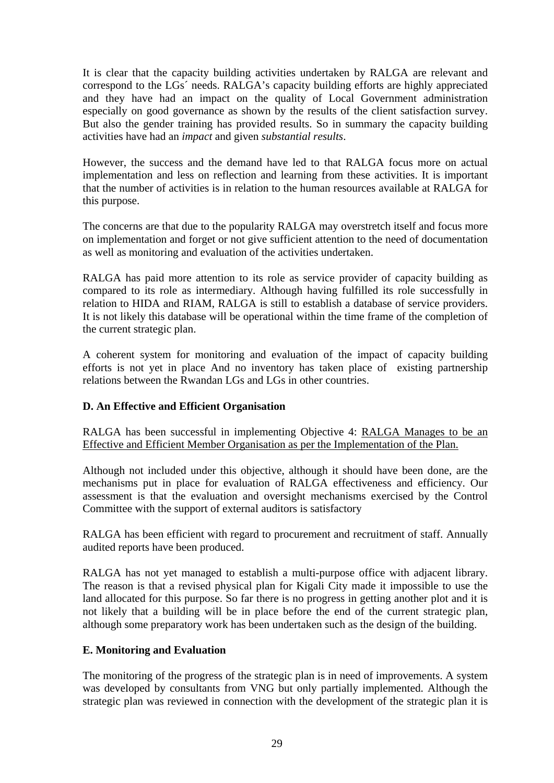<span id="page-28-0"></span>It is clear that the capacity building activities undertaken by RALGA are relevant and correspond to the LGs´ needs. RALGA's capacity building efforts are highly appreciated and they have had an impact on the quality of Local Government administration especially on good governance as shown by the results of the client satisfaction survey. But also the gender training has provided results. So in summary the capacity building activities have had an *impact* and given *substantial results*.

However, the success and the demand have led to that RALGA focus more on actual implementation and less on reflection and learning from these activities. It is important that the number of activities is in relation to the human resources available at RALGA for this purpose.

The concerns are that due to the popularity RALGA may overstretch itself and focus more on implementation and forget or not give sufficient attention to the need of documentation as well as monitoring and evaluation of the activities undertaken.

RALGA has paid more attention to its role as service provider of capacity building as compared to its role as intermediary. Although having fulfilled its role successfully in relation to HIDA and RIAM, RALGA is still to establish a database of service providers. It is not likely this database will be operational within the time frame of the completion of the current strategic plan.

A coherent system for monitoring and evaluation of the impact of capacity building efforts is not yet in place And no inventory has taken place of existing partnership relations between the Rwandan LGs and LGs in other countries.

## **D. An Effective and Efficient Organisation**

RALGA has been successful in implementing Objective 4: RALGA Manages to be an Effective and Efficient Member Organisation as per the Implementation of the Plan.

Although not included under this objective, although it should have been done, are the mechanisms put in place for evaluation of RALGA effectiveness and efficiency. Our assessment is that the evaluation and oversight mechanisms exercised by the Control Committee with the support of external auditors is satisfactory

RALGA has been efficient with regard to procurement and recruitment of staff. Annually audited reports have been produced.

RALGA has not yet managed to establish a multi-purpose office with adjacent library. The reason is that a revised physical plan for Kigali City made it impossible to use the land allocated for this purpose. So far there is no progress in getting another plot and it is not likely that a building will be in place before the end of the current strategic plan, although some preparatory work has been undertaken such as the design of the building.

## **E. Monitoring and Evaluation**

The monitoring of the progress of the strategic plan is in need of improvements. A system was developed by consultants from VNG but only partially implemented. Although the strategic plan was reviewed in connection with the development of the strategic plan it is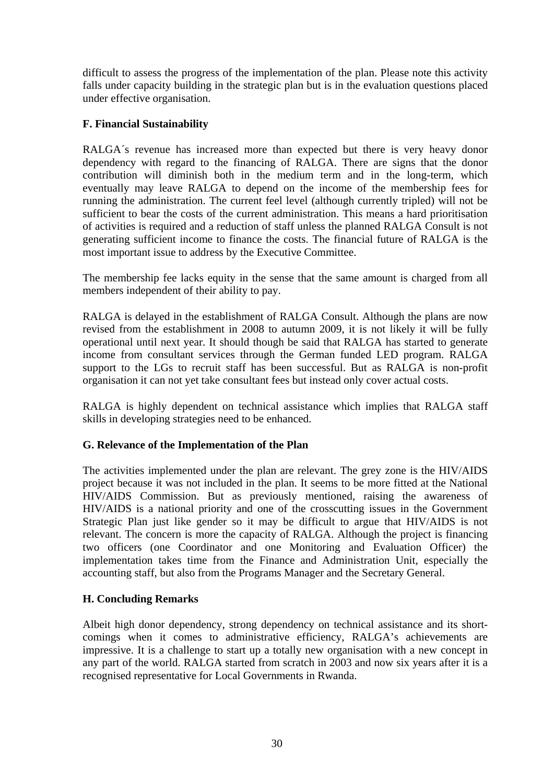<span id="page-29-0"></span>difficult to assess the progress of the implementation of the plan. Please note this activity falls under capacity building in the strategic plan but is in the evaluation questions placed under effective organisation.

## **F. Financial Sustainability**

RALGA´s revenue has increased more than expected but there is very heavy donor dependency with regard to the financing of RALGA. There are signs that the donor contribution will diminish both in the medium term and in the long-term, which eventually may leave RALGA to depend on the income of the membership fees for running the administration. The current feel level (although currently tripled) will not be sufficient to bear the costs of the current administration. This means a hard prioritisation of activities is required and a reduction of staff unless the planned RALGA Consult is not generating sufficient income to finance the costs. The financial future of RALGA is the most important issue to address by the Executive Committee.

The membership fee lacks equity in the sense that the same amount is charged from all members independent of their ability to pay.

RALGA is delayed in the establishment of RALGA Consult. Although the plans are now revised from the establishment in 2008 to autumn 2009, it is not likely it will be fully operational until next year. It should though be said that RALGA has started to generate income from consultant services through the German funded LED program. RALGA support to the LGs to recruit staff has been successful. But as RALGA is non-profit organisation it can not yet take consultant fees but instead only cover actual costs.

RALGA is highly dependent on technical assistance which implies that RALGA staff skills in developing strategies need to be enhanced.

## **G. Relevance of the Implementation of the Plan**

The activities implemented under the plan are relevant. The grey zone is the HIV/AIDS project because it was not included in the plan. It seems to be more fitted at the National HIV/AIDS Commission. But as previously mentioned, raising the awareness of HIV/AIDS is a national priority and one of the crosscutting issues in the Government Strategic Plan just like gender so it may be difficult to argue that HIV/AIDS is not relevant. The concern is more the capacity of RALGA. Although the project is financing two officers (one Coordinator and one Monitoring and Evaluation Officer) the implementation takes time from the Finance and Administration Unit, especially the accounting staff, but also from the Programs Manager and the Secretary General.

# **H. Concluding Remarks**

Albeit high donor dependency, strong dependency on technical assistance and its shortcomings when it comes to administrative efficiency, RALGA's achievements are impressive. It is a challenge to start up a totally new organisation with a new concept in any part of the world. RALGA started from scratch in 2003 and now six years after it is a recognised representative for Local Governments in Rwanda.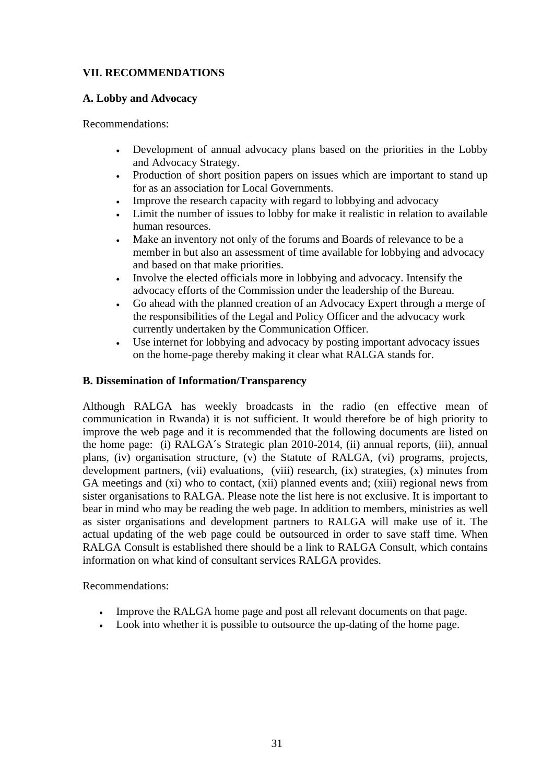# <span id="page-30-0"></span>**VII. RECOMMENDATIONS**

# **A. Lobby and Advocacy**

Recommendations:

- Development of annual advocacy plans based on the priorities in the Lobby and Advocacy Strategy.
- Production of short position papers on issues which are important to stand up for as an association for Local Governments.
- Improve the research capacity with regard to lobbying and advocacy
- Limit the number of issues to lobby for make it realistic in relation to available human resources.
- Make an inventory not only of the forums and Boards of relevance to be a member in but also an assessment of time available for lobbying and advocacy and based on that make priorities.
- Involve the elected officials more in lobbying and advocacy. Intensify the advocacy efforts of the Commission under the leadership of the Bureau.
- Go ahead with the planned creation of an Advocacy Expert through a merge of the responsibilities of the Legal and Policy Officer and the advocacy work currently undertaken by the Communication Officer.
- Use internet for lobbying and advocacy by posting important advocacy issues on the home-page thereby making it clear what RALGA stands for.

# **B. Dissemination of Information/Transparency**

Although RALGA has weekly broadcasts in the radio (en effective mean of communication in Rwanda) it is not sufficient. It would therefore be of high priority to improve the web page and it is recommended that the following documents are listed on the home page: (i) RALGA´s Strategic plan 2010-2014, (ii) annual reports, (iii), annual plans, (iv) organisation structure, (v) the Statute of RALGA, (vi) programs, projects, development partners, (vii) evaluations, (viii) research, (ix) strategies, (x) minutes from GA meetings and (xi) who to contact, (xii) planned events and; (xiii) regional news from sister organisations to RALGA. Please note the list here is not exclusive. It is important to bear in mind who may be reading the web page. In addition to members, ministries as well as sister organisations and development partners to RALGA will make use of it. The actual updating of the web page could be outsourced in order to save staff time. When RALGA Consult is established there should be a link to RALGA Consult, which contains information on what kind of consultant services RALGA provides.

Recommendations:

- Improve the RALGA home page and post all relevant documents on that page.
- Look into whether it is possible to outsource the up-dating of the home page.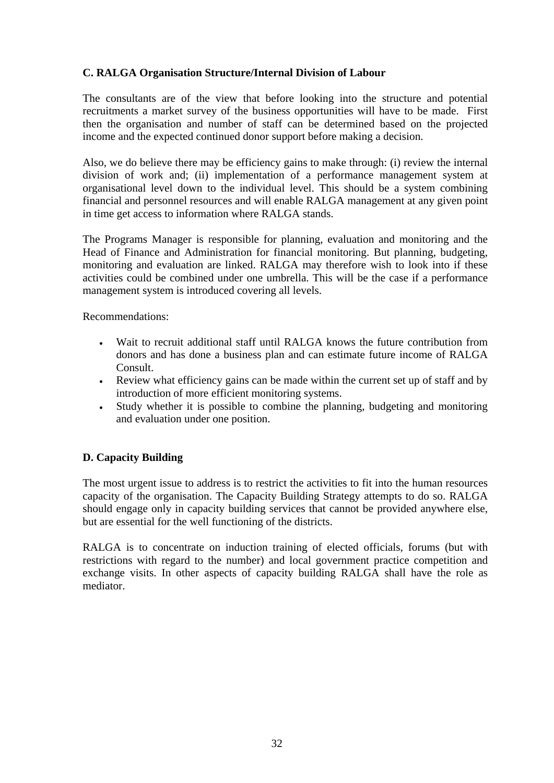# <span id="page-31-0"></span>**C. RALGA Organisation Structure/Internal Division of Labour**

The consultants are of the view that before looking into the structure and potential recruitments a market survey of the business opportunities will have to be made. First then the organisation and number of staff can be determined based on the projected income and the expected continued donor support before making a decision.

Also, we do believe there may be efficiency gains to make through: (i) review the internal division of work and; (ii) implementation of a performance management system at organisational level down to the individual level. This should be a system combining financial and personnel resources and will enable RALGA management at any given point in time get access to information where RALGA stands.

The Programs Manager is responsible for planning, evaluation and monitoring and the Head of Finance and Administration for financial monitoring. But planning, budgeting, monitoring and evaluation are linked. RALGA may therefore wish to look into if these activities could be combined under one umbrella. This will be the case if a performance management system is introduced covering all levels.

Recommendations:

- Wait to recruit additional staff until RALGA knows the future contribution from donors and has done a business plan and can estimate future income of RALGA Consult.
- Review what efficiency gains can be made within the current set up of staff and by introduction of more efficient monitoring systems.
- Study whether it is possible to combine the planning, budgeting and monitoring and evaluation under one position.

## **D. Capacity Building**

The most urgent issue to address is to restrict the activities to fit into the human resources capacity of the organisation. The Capacity Building Strategy attempts to do so. RALGA should engage only in capacity building services that cannot be provided anywhere else, but are essential for the well functioning of the districts.

RALGA is to concentrate on induction training of elected officials, forums (but with restrictions with regard to the number) and local government practice competition and exchange visits. In other aspects of capacity building RALGA shall have the role as mediator.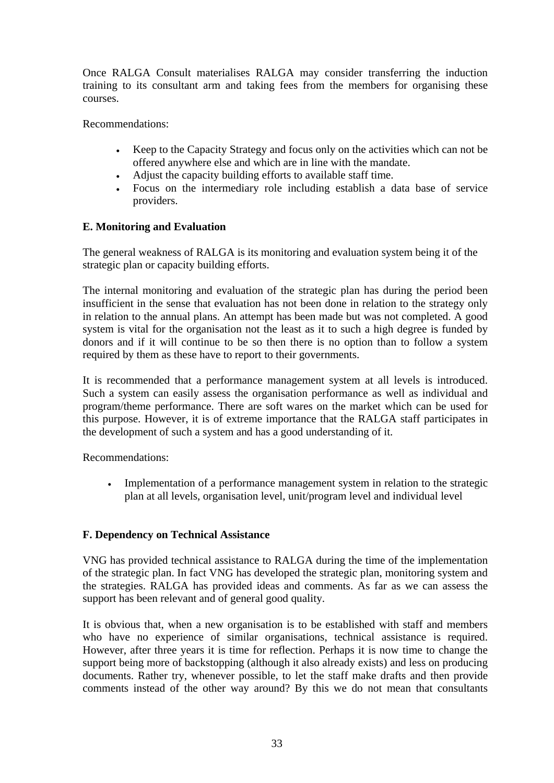<span id="page-32-0"></span>Once RALGA Consult materialises RALGA may consider transferring the induction training to its consultant arm and taking fees from the members for organising these courses.

Recommendations:

- Keep to the Capacity Strategy and focus only on the activities which can not be offered anywhere else and which are in line with the mandate.
- Adjust the capacity building efforts to available staff time.
- Focus on the intermediary role including establish a data base of service providers.

## **E. Monitoring and Evaluation**

The general weakness of RALGA is its monitoring and evaluation system being it of the strategic plan or capacity building efforts.

The internal monitoring and evaluation of the strategic plan has during the period been insufficient in the sense that evaluation has not been done in relation to the strategy only in relation to the annual plans. An attempt has been made but was not completed. A good system is vital for the organisation not the least as it to such a high degree is funded by donors and if it will continue to be so then there is no option than to follow a system required by them as these have to report to their governments.

It is recommended that a performance management system at all levels is introduced. Such a system can easily assess the organisation performance as well as individual and program/theme performance. There are soft wares on the market which can be used for this purpose. However, it is of extreme importance that the RALGA staff participates in the development of such a system and has a good understanding of it.

Recommendations:

• Implementation of a performance management system in relation to the strategic plan at all levels, organisation level, unit/program level and individual level

## **F. Dependency on Technical Assistance**

VNG has provided technical assistance to RALGA during the time of the implementation of the strategic plan. In fact VNG has developed the strategic plan, monitoring system and the strategies. RALGA has provided ideas and comments. As far as we can assess the support has been relevant and of general good quality.

It is obvious that, when a new organisation is to be established with staff and members who have no experience of similar organisations, technical assistance is required. However, after three years it is time for reflection. Perhaps it is now time to change the support being more of backstopping (although it also already exists) and less on producing documents. Rather try, whenever possible, to let the staff make drafts and then provide comments instead of the other way around? By this we do not mean that consultants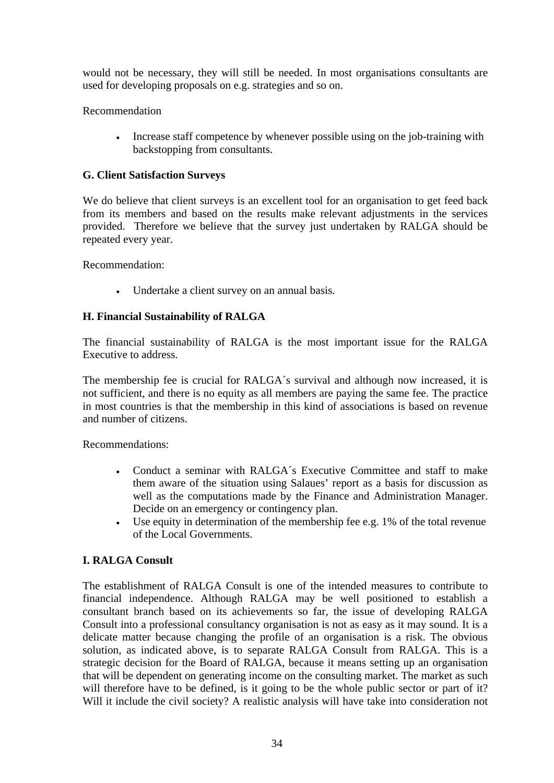<span id="page-33-0"></span>would not be necessary, they will still be needed. In most organisations consultants are used for developing proposals on e.g. strategies and so on.

# Recommendation

• Increase staff competence by whenever possible using on the job-training with backstopping from consultants.

# **G. Client Satisfaction Surveys**

We do believe that client surveys is an excellent tool for an organisation to get feed back from its members and based on the results make relevant adjustments in the services provided. Therefore we believe that the survey just undertaken by RALGA should be repeated every year.

Recommendation:

• Undertake a client survey on an annual basis.

# **H. Financial Sustainability of RALGA**

The financial sustainability of RALGA is the most important issue for the RALGA Executive to address.

The membership fee is crucial for RALGA´s survival and although now increased, it is not sufficient, and there is no equity as all members are paying the same fee. The practice in most countries is that the membership in this kind of associations is based on revenue and number of citizens.

Recommendations:

- Conduct a seminar with RALGA´s Executive Committee and staff to make them aware of the situation using Salaues' report as a basis for discussion as well as the computations made by the Finance and Administration Manager. Decide on an emergency or contingency plan.
- Use equity in determination of the membership fee e.g. 1% of the total revenue of the Local Governments.

# **I. RALGA Consult**

The establishment of RALGA Consult is one of the intended measures to contribute to financial independence. Although RALGA may be well positioned to establish a consultant branch based on its achievements so far, the issue of developing RALGA Consult into a professional consultancy organisation is not as easy as it may sound. It is a delicate matter because changing the profile of an organisation is a risk. The obvious solution, as indicated above, is to separate RALGA Consult from RALGA. This is a strategic decision for the Board of RALGA, because it means setting up an organisation that will be dependent on generating income on the consulting market. The market as such will therefore have to be defined, is it going to be the whole public sector or part of it? Will it include the civil society? A realistic analysis will have take into consideration not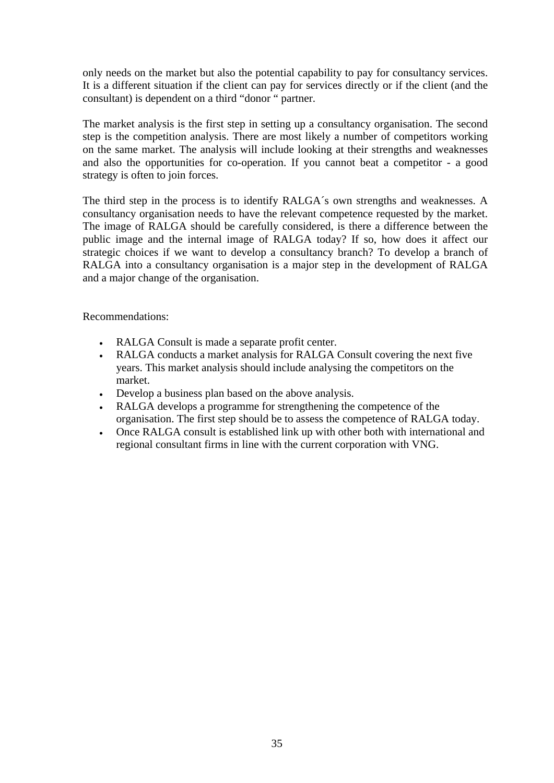only needs on the market but also the potential capability to pay for consultancy services. It is a different situation if the client can pay for services directly or if the client (and the consultant) is dependent on a third "donor " partner.

The market analysis is the first step in setting up a consultancy organisation. The second step is the competition analysis. There are most likely a number of competitors working on the same market. The analysis will include looking at their strengths and weaknesses and also the opportunities for co-operation. If you cannot beat a competitor - a good strategy is often to join forces.

The third step in the process is to identify RALGA´s own strengths and weaknesses. A consultancy organisation needs to have the relevant competence requested by the market. The image of RALGA should be carefully considered, is there a difference between the public image and the internal image of RALGA today? If so, how does it affect our strategic choices if we want to develop a consultancy branch? To develop a branch of RALGA into a consultancy organisation is a major step in the development of RALGA and a major change of the organisation.

Recommendations:

- RALGA Consult is made a separate profit center.
- RALGA conducts a market analysis for RALGA Consult covering the next five years. This market analysis should include analysing the competitors on the market.
- Develop a business plan based on the above analysis.
- RALGA develops a programme for strengthening the competence of the organisation. The first step should be to assess the competence of RALGA today.
- Once RALGA consult is established link up with other both with international and regional consultant firms in line with the current corporation with VNG.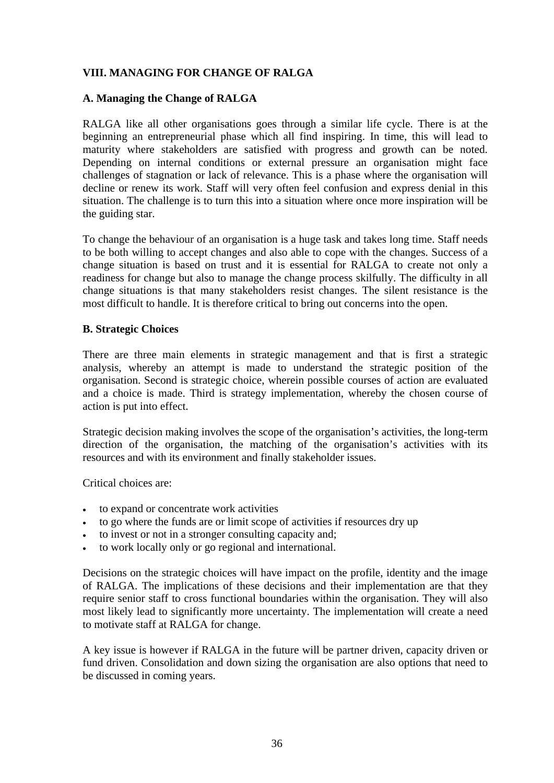# <span id="page-35-0"></span>**VIII. MANAGING FOR CHANGE OF RALGA**

#### **A. Managing the Change of RALGA**

RALGA like all other organisations goes through a similar life cycle. There is at the beginning an entrepreneurial phase which all find inspiring. In time, this will lead to maturity where stakeholders are satisfied with progress and growth can be noted. Depending on internal conditions or external pressure an organisation might face challenges of stagnation or lack of relevance. This is a phase where the organisation will decline or renew its work. Staff will very often feel confusion and express denial in this situation. The challenge is to turn this into a situation where once more inspiration will be the guiding star.

To change the behaviour of an organisation is a huge task and takes long time. Staff needs to be both willing to accept changes and also able to cope with the changes. Success of a change situation is based on trust and it is essential for RALGA to create not only a readiness for change but also to manage the change process skilfully. The difficulty in all change situations is that many stakeholders resist changes. The silent resistance is the most difficult to handle. It is therefore critical to bring out concerns into the open.

#### **B. Strategic Choices**

There are three main elements in strategic management and that is first a strategic analysis, whereby an attempt is made to understand the strategic position of the organisation. Second is strategic choice, wherein possible courses of action are evaluated and a choice is made. Third is strategy implementation, whereby the chosen course of action is put into effect.

Strategic decision making involves the scope of the organisation's activities, the long-term direction of the organisation, the matching of the organisation's activities with its resources and with its environment and finally stakeholder issues.

Critical choices are:

- to expand or concentrate work activities
- to go where the funds are or limit scope of activities if resources dry up
- to invest or not in a stronger consulting capacity and;
- to work locally only or go regional and international.

Decisions on the strategic choices will have impact on the profile, identity and the image of RALGA. The implications of these decisions and their implementation are that they require senior staff to cross functional boundaries within the organisation. They will also most likely lead to significantly more uncertainty. The implementation will create a need to motivate staff at RALGA for change.

A key issue is however if RALGA in the future will be partner driven, capacity driven or fund driven. Consolidation and down sizing the organisation are also options that need to be discussed in coming years.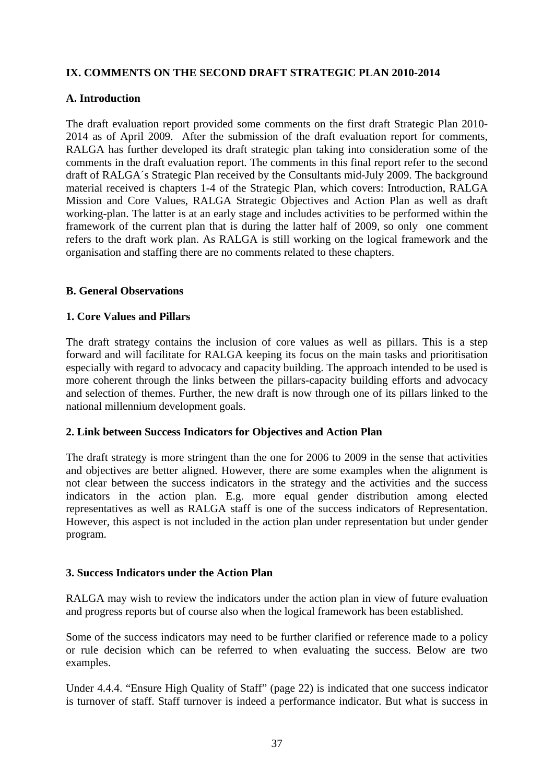# <span id="page-36-0"></span>**IX. COMMENTS ON THE SECOND DRAFT STRATEGIC PLAN 2010-2014**

#### **A. Introduction**

The draft evaluation report provided some comments on the first draft Strategic Plan 2010- 2014 as of April 2009. After the submission of the draft evaluation report for comments, RALGA has further developed its draft strategic plan taking into consideration some of the comments in the draft evaluation report. The comments in this final report refer to the second draft of RALGA´s Strategic Plan received by the Consultants mid-July 2009. The background material received is chapters 1-4 of the Strategic Plan, which covers: Introduction, RALGA Mission and Core Values, RALGA Strategic Objectives and Action Plan as well as draft working-plan. The latter is at an early stage and includes activities to be performed within the framework of the current plan that is during the latter half of 2009, so only one comment refers to the draft work plan. As RALGA is still working on the logical framework and the organisation and staffing there are no comments related to these chapters.

#### **B. General Observations**

#### **1. Core Values and Pillars**

The draft strategy contains the inclusion of core values as well as pillars. This is a step forward and will facilitate for RALGA keeping its focus on the main tasks and prioritisation especially with regard to advocacy and capacity building. The approach intended to be used is more coherent through the links between the pillars-capacity building efforts and advocacy and selection of themes. Further, the new draft is now through one of its pillars linked to the national millennium development goals.

#### **2. Link between Success Indicators for Objectives and Action Plan**

The draft strategy is more stringent than the one for 2006 to 2009 in the sense that activities and objectives are better aligned. However, there are some examples when the alignment is not clear between the success indicators in the strategy and the activities and the success indicators in the action plan. E.g. more equal gender distribution among elected representatives as well as RALGA staff is one of the success indicators of Representation. However, this aspect is not included in the action plan under representation but under gender program.

#### **3. Success Indicators under the Action Plan**

RALGA may wish to review the indicators under the action plan in view of future evaluation and progress reports but of course also when the logical framework has been established.

Some of the success indicators may need to be further clarified or reference made to a policy or rule decision which can be referred to when evaluating the success. Below are two examples.

Under 4.4.4. "Ensure High Quality of Staff" (page 22) is indicated that one success indicator is turnover of staff. Staff turnover is indeed a performance indicator. But what is success in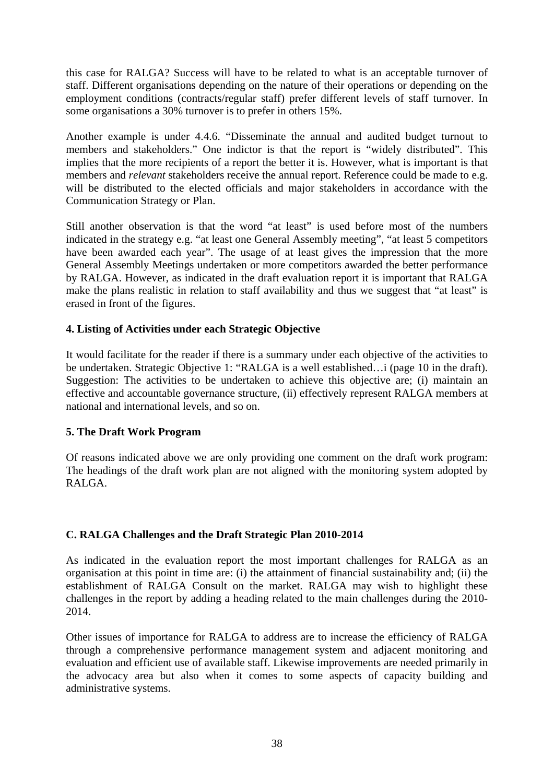<span id="page-37-0"></span>this case for RALGA? Success will have to be related to what is an acceptable turnover of staff. Different organisations depending on the nature of their operations or depending on the employment conditions (contracts/regular staff) prefer different levels of staff turnover. In some organisations a 30% turnover is to prefer in others 15%.

Another example is under 4.4.6. "Disseminate the annual and audited budget turnout to members and stakeholders." One indictor is that the report is "widely distributed". This implies that the more recipients of a report the better it is. However, what is important is that members and *relevant* stakeholders receive the annual report. Reference could be made to e.g. will be distributed to the elected officials and major stakeholders in accordance with the Communication Strategy or Plan.

Still another observation is that the word "at least" is used before most of the numbers indicated in the strategy e.g. "at least one General Assembly meeting", "at least 5 competitors have been awarded each year". The usage of at least gives the impression that the more General Assembly Meetings undertaken or more competitors awarded the better performance by RALGA. However, as indicated in the draft evaluation report it is important that RALGA make the plans realistic in relation to staff availability and thus we suggest that "at least" is erased in front of the figures.

## **4. Listing of Activities under each Strategic Objective**

It would facilitate for the reader if there is a summary under each objective of the activities to be undertaken. Strategic Objective 1: "RALGA is a well established…i (page 10 in the draft). Suggestion: The activities to be undertaken to achieve this objective are; (i) maintain an effective and accountable governance structure, (ii) effectively represent RALGA members at national and international levels, and so on.

## **5. The Draft Work Program**

Of reasons indicated above we are only providing one comment on the draft work program: The headings of the draft work plan are not aligned with the monitoring system adopted by RALGA.

# **C. RALGA Challenges and the Draft Strategic Plan 2010-2014**

As indicated in the evaluation report the most important challenges for RALGA as an organisation at this point in time are: (i) the attainment of financial sustainability and; (ii) the establishment of RALGA Consult on the market. RALGA may wish to highlight these challenges in the report by adding a heading related to the main challenges during the 2010- 2014.

Other issues of importance for RALGA to address are to increase the efficiency of RALGA through a comprehensive performance management system and adjacent monitoring and evaluation and efficient use of available staff. Likewise improvements are needed primarily in the advocacy area but also when it comes to some aspects of capacity building and administrative systems.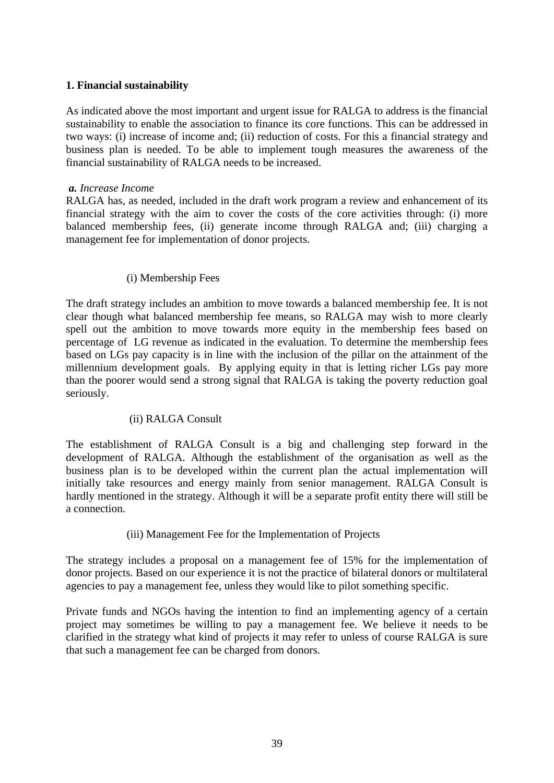## **1. Financial sustainability**

As indicated above the most important and urgent issue for RALGA to address is the financial sustainability to enable the association to finance its core functions. This can be addressed in two ways: (i) increase of income and; (ii) reduction of costs. For this a financial strategy and business plan is needed. To be able to implement tough measures the awareness of the financial sustainability of RALGA needs to be increased.

#### *a. Increase Income*

RALGA has, as needed, included in the draft work program a review and enhancement of its financial strategy with the aim to cover the costs of the core activities through: (i) more balanced membership fees, (ii) generate income through RALGA and; (iii) charging a management fee for implementation of donor projects.

#### (i) Membership Fees

The draft strategy includes an ambition to move towards a balanced membership fee. It is not clear though what balanced membership fee means, so RALGA may wish to more clearly spell out the ambition to move towards more equity in the membership fees based on percentage of LG revenue as indicated in the evaluation. To determine the membership fees based on LGs pay capacity is in line with the inclusion of the pillar on the attainment of the millennium development goals. By applying equity in that is letting richer LGs pay more than the poorer would send a strong signal that RALGA is taking the poverty reduction goal seriously.

## (ii) RALGA Consult

The establishment of RALGA Consult is a big and challenging step forward in the development of RALGA. Although the establishment of the organisation as well as the business plan is to be developed within the current plan the actual implementation will initially take resources and energy mainly from senior management. RALGA Consult is hardly mentioned in the strategy. Although it will be a separate profit entity there will still be a connection.

## (iii) Management Fee for the Implementation of Projects

The strategy includes a proposal on a management fee of 15% for the implementation of donor projects. Based on our experience it is not the practice of bilateral donors or multilateral agencies to pay a management fee, unless they would like to pilot something specific.

Private funds and NGOs having the intention to find an implementing agency of a certain project may sometimes be willing to pay a management fee. We believe it needs to be clarified in the strategy what kind of projects it may refer to unless of course RALGA is sure that such a management fee can be charged from donors.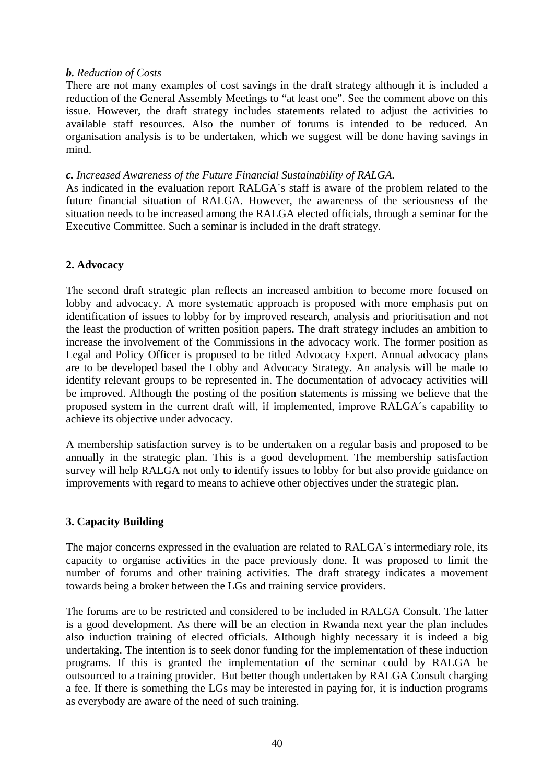#### *b. Reduction of Costs*

There are not many examples of cost savings in the draft strategy although it is included a reduction of the General Assembly Meetings to "at least one". See the comment above on this issue. However, the draft strategy includes statements related to adjust the activities to available staff resources. Also the number of forums is intended to be reduced. An organisation analysis is to be undertaken, which we suggest will be done having savings in mind.

#### *c. Increased Awareness of the Future Financial Sustainability of RALGA.*

As indicated in the evaluation report RALGA´s staff is aware of the problem related to the future financial situation of RALGA. However, the awareness of the seriousness of the situation needs to be increased among the RALGA elected officials, through a seminar for the Executive Committee. Such a seminar is included in the draft strategy.

## **2. Advocacy**

The second draft strategic plan reflects an increased ambition to become more focused on lobby and advocacy. A more systematic approach is proposed with more emphasis put on identification of issues to lobby for by improved research, analysis and prioritisation and not the least the production of written position papers. The draft strategy includes an ambition to increase the involvement of the Commissions in the advocacy work. The former position as Legal and Policy Officer is proposed to be titled Advocacy Expert. Annual advocacy plans are to be developed based the Lobby and Advocacy Strategy. An analysis will be made to identify relevant groups to be represented in. The documentation of advocacy activities will be improved. Although the posting of the position statements is missing we believe that the proposed system in the current draft will, if implemented, improve RALGA´s capability to achieve its objective under advocacy.

A membership satisfaction survey is to be undertaken on a regular basis and proposed to be annually in the strategic plan. This is a good development. The membership satisfaction survey will help RALGA not only to identify issues to lobby for but also provide guidance on improvements with regard to means to achieve other objectives under the strategic plan.

## **3. Capacity Building**

The major concerns expressed in the evaluation are related to RALGA´s intermediary role, its capacity to organise activities in the pace previously done. It was proposed to limit the number of forums and other training activities. The draft strategy indicates a movement towards being a broker between the LGs and training service providers.

The forums are to be restricted and considered to be included in RALGA Consult. The latter is a good development. As there will be an election in Rwanda next year the plan includes also induction training of elected officials. Although highly necessary it is indeed a big undertaking. The intention is to seek donor funding for the implementation of these induction programs. If this is granted the implementation of the seminar could by RALGA be outsourced to a training provider. But better though undertaken by RALGA Consult charging a fee. If there is something the LGs may be interested in paying for, it is induction programs as everybody are aware of the need of such training.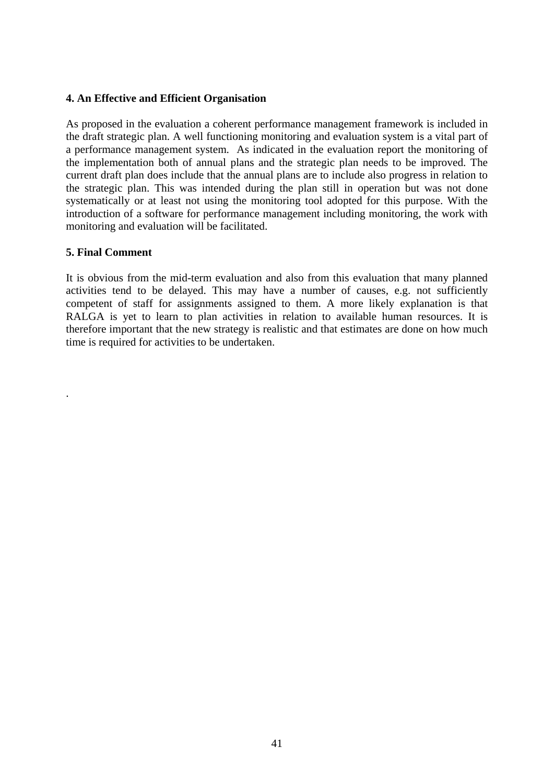#### **4. An Effective and Efficient Organisation**

As proposed in the evaluation a coherent performance management framework is included in the draft strategic plan. A well functioning monitoring and evaluation system is a vital part of a performance management system. As indicated in the evaluation report the monitoring of the implementation both of annual plans and the strategic plan needs to be improved. The current draft plan does include that the annual plans are to include also progress in relation to the strategic plan. This was intended during the plan still in operation but was not done systematically or at least not using the monitoring tool adopted for this purpose. With the introduction of a software for performance management including monitoring, the work with monitoring and evaluation will be facilitated.

#### **5. Final Comment**

.

It is obvious from the mid-term evaluation and also from this evaluation that many planned activities tend to be delayed. This may have a number of causes, e.g. not sufficiently competent of staff for assignments assigned to them. A more likely explanation is that RALGA is yet to learn to plan activities in relation to available human resources. It is therefore important that the new strategy is realistic and that estimates are done on how much time is required for activities to be undertaken.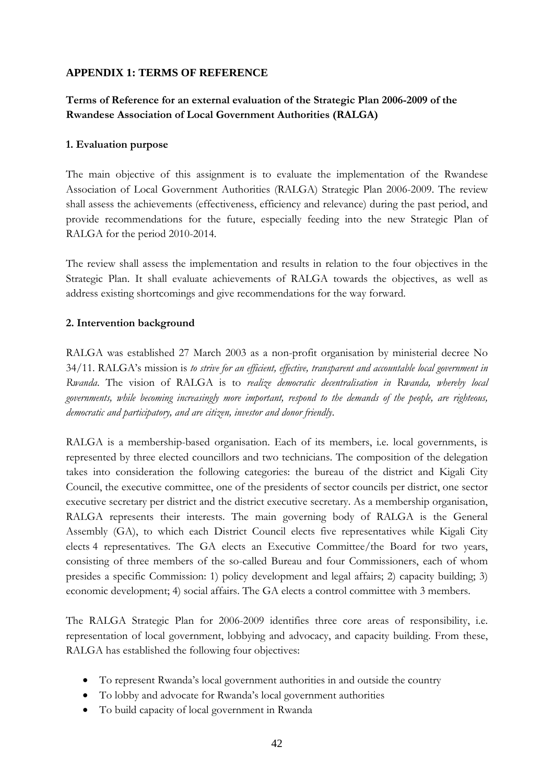## <span id="page-41-0"></span>**APPENDIX 1: TERMS OF REFERENCE**

# **Terms of Reference for an external evaluation of the Strategic Plan 2006-2009 of the Rwandese Association of Local Government Authorities (RALGA)**

#### **1. Evaluation purpose**

The main objective of this assignment is to evaluate the implementation of the Rwandese Association of Local Government Authorities (RALGA) Strategic Plan 2006-2009. The review shall assess the achievements (effectiveness, efficiency and relevance) during the past period, and provide recommendations for the future, especially feeding into the new Strategic Plan of RALGA for the period 2010-2014.

The review shall assess the implementation and results in relation to the four objectives in the Strategic Plan. It shall evaluate achievements of RALGA towards the objectives, as well as address existing shortcomings and give recommendations for the way forward.

## **2. Intervention background**

RALGA was established 27 March 2003 as a non-profit organisation by ministerial decree No 34/11. RALGA's mission is *to strive for an efficient, effective, transparent and accountable local government in Rwanda*. The vision of RALGA is to *realize democratic decentralisation in Rwanda, whereby local governments, while becoming increasingly more important, respond to the demands of the people, are righteous, democratic and participatory, and are citizen, investor and donor friendly*.

RALGA is a membership-based organisation. Each of its members, i.e. local governments, is represented by three elected councillors and two technicians. The composition of the delegation takes into consideration the following categories: the bureau of the district and Kigali City Council, the executive committee, one of the presidents of sector councils per district, one sector executive secretary per district and the district executive secretary. As a membership organisation, RALGA represents their interests. The main governing body of RALGA is the General Assembly (GA), to which each District Council elects five representatives while Kigali City elects 4 representatives. The GA elects an Executive Committee/the Board for two years, consisting of three members of the so-called Bureau and four Commissioners, each of whom presides a specific Commission: 1) policy development and legal affairs; 2) capacity building; 3) economic development; 4) social affairs. The GA elects a control committee with 3 members.

The RALGA Strategic Plan for 2006-2009 identifies three core areas of responsibility, i.e. representation of local government, lobbying and advocacy, and capacity building. From these, RALGA has established the following four objectives:

- To represent Rwanda's local government authorities in and outside the country
- To lobby and advocate for Rwanda's local government authorities
- To build capacity of local government in Rwanda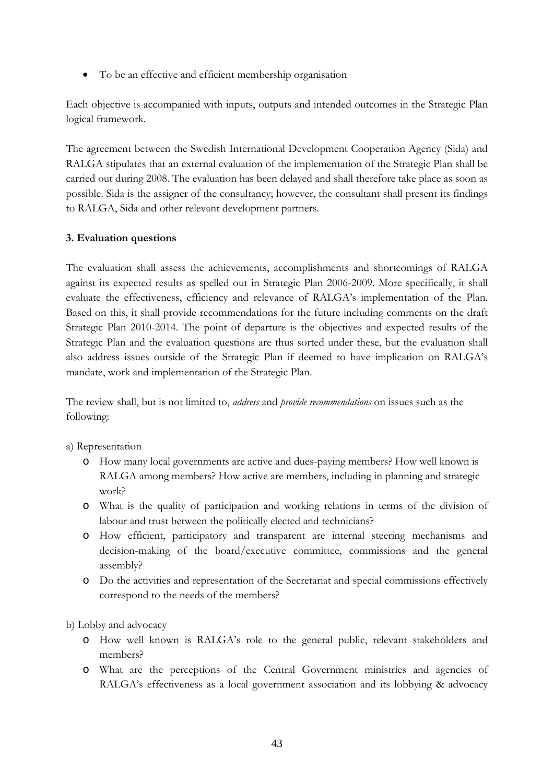• To be an effective and efficient membership organisation

Each objective is accompanied with inputs, outputs and intended outcomes in the Strategic Plan logical framework.

The agreement between the Swedish International Development Cooperation Agency (Sida) and RALGA stipulates that an external evaluation of the implementation of the Strategic Plan shall be carried out during 2008. The evaluation has been delayed and shall therefore take place as soon as possible. Sida is the assigner of the consultancy; however, the consultant shall present its findings to RALGA, Sida and other relevant development partners.

## **3. Evaluation questions**

The evaluation shall assess the achievements, accomplishments and shortcomings of RALGA against its expected results as spelled out in Strategic Plan 2006-2009. More specifically, it shall evaluate the effectiveness, efficiency and relevance of RALGA's implementation of the Plan. Based on this, it shall provide recommendations for the future including comments on the draft Strategic Plan 2010-2014. The point of departure is the objectives and expected results of the Strategic Plan and the evaluation questions are thus sorted under these, but the evaluation shall also address issues outside of the Strategic Plan if deemed to have implication on RALGA's mandate, work and implementation of the Strategic Plan.

The review shall, but is not limited to, *address* and *provide recommendations* on issues such as the following:

- a) Representation
	- o How many local governments are active and dues-paying members? How well known is RALGA among members? How active are members, including in planning and strategic work?
	- o What is the quality of participation and working relations in terms of the division of labour and trust between the politically elected and technicians?
	- o How efficient, participatory and transparent are internal steering mechanisms and decision-making of the board/executive committee, commissions and the general assembly?
	- o Do the activities and representation of the Secretariat and special commissions effectively correspond to the needs of the members?

b) Lobby and advocacy

- o How well known is RALGA's role to the general public, relevant stakeholders and members?
- o What are the perceptions of the Central Government ministries and agencies of RALGA's effectiveness as a local government association and its lobbying & advocacy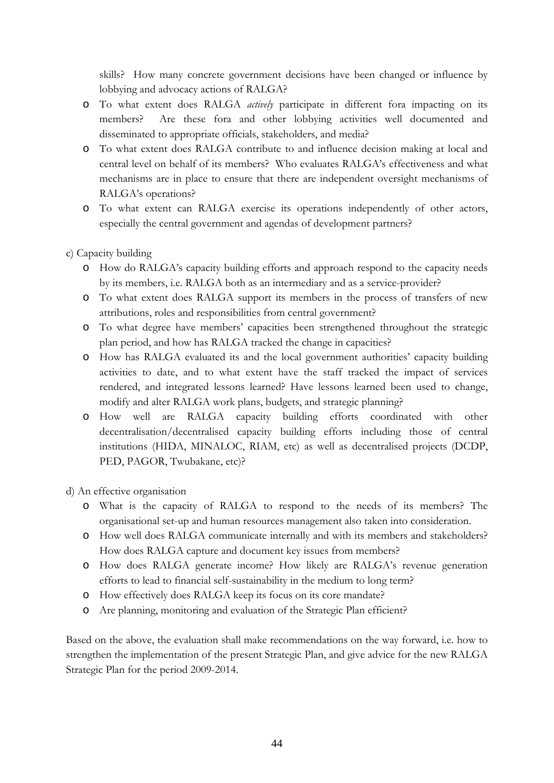skills? How many concrete government decisions have been changed or influence by lobbying and advocacy actions of RALGA?

- o To what extent does RALGA *actively* participate in different fora impacting on its members? Are these fora and other lobbying activities well documented and disseminated to appropriate officials, stakeholders, and media?
- o To what extent does RALGA contribute to and influence decision making at local and central level on behalf of its members? Who evaluates RALGA's effectiveness and what mechanisms are in place to ensure that there are independent oversight mechanisms of RALGA's operations?
- o To what extent can RALGA exercise its operations independently of other actors, especially the central government and agendas of development partners?

c) Capacity building

- o How do RALGA's capacity building efforts and approach respond to the capacity needs by its members, i.e. RALGA both as an intermediary and as a service-provider?
- o To what extent does RALGA support its members in the process of transfers of new attributions, roles and responsibilities from central government?
- o To what degree have members' capacities been strengthened throughout the strategic plan period, and how has RALGA tracked the change in capacities?
- o How has RALGA evaluated its and the local government authorities' capacity building activities to date, and to what extent have the staff tracked the impact of services rendered, and integrated lessons learned? Have lessons learned been used to change, modify and alter RALGA work plans, budgets, and strategic planning?
- o How well are RALGA capacity building efforts coordinated with other decentralisation/decentralised capacity building efforts including those of central institutions (HIDA, MINALOC, RIAM, etc) as well as decentralised projects (DCDP, PED, PAGOR, Twubakane, etc)?

d) An effective organisation

- o What is the capacity of RALGA to respond to the needs of its members? The organisational set-up and human resources management also taken into consideration.
- o How well does RALGA communicate internally and with its members and stakeholders? How does RALGA capture and document key issues from members?
- o How does RALGA generate income? How likely are RALGA's revenue generation efforts to lead to financial self-sustainability in the medium to long term?
- o How effectively does RALGA keep its focus on its core mandate?
- o Are planning, monitoring and evaluation of the Strategic Plan efficient?

Based on the above, the evaluation shall make recommendations on the way forward, i.e. how to strengthen the implementation of the present Strategic Plan, and give advice for the new RALGA Strategic Plan for the period 2009-2014.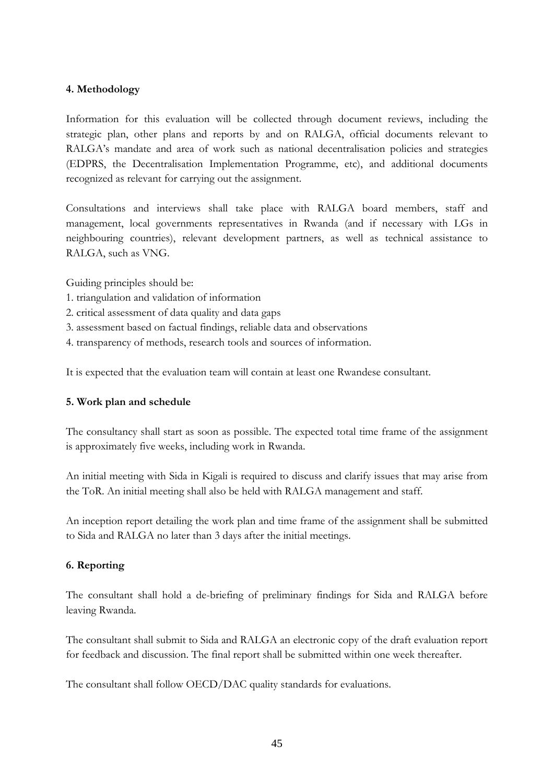#### **4. Methodology**

Information for this evaluation will be collected through document reviews, including the strategic plan, other plans and reports by and on RALGA, official documents relevant to RALGA's mandate and area of work such as national decentralisation policies and strategies (EDPRS, the Decentralisation Implementation Programme, etc), and additional documents recognized as relevant for carrying out the assignment.

Consultations and interviews shall take place with RALGA board members, staff and management, local governments representatives in Rwanda (and if necessary with LGs in neighbouring countries), relevant development partners, as well as technical assistance to RALGA, such as VNG.

Guiding principles should be:

- 1. triangulation and validation of information
- 2. critical assessment of data quality and data gaps
- 3. assessment based on factual findings, reliable data and observations
- 4. transparency of methods, research tools and sources of information.

It is expected that the evaluation team will contain at least one Rwandese consultant.

#### **5. Work plan and schedule**

The consultancy shall start as soon as possible. The expected total time frame of the assignment is approximately five weeks, including work in Rwanda.

An initial meeting with Sida in Kigali is required to discuss and clarify issues that may arise from the ToR. An initial meeting shall also be held with RALGA management and staff.

An inception report detailing the work plan and time frame of the assignment shall be submitted to Sida and RALGA no later than 3 days after the initial meetings.

#### **6. Reporting**

The consultant shall hold a de-briefing of preliminary findings for Sida and RALGA before leaving Rwanda.

The consultant shall submit to Sida and RALGA an electronic copy of the draft evaluation report for feedback and discussion. The final report shall be submitted within one week thereafter.

The consultant shall follow OECD/DAC quality standards for evaluations.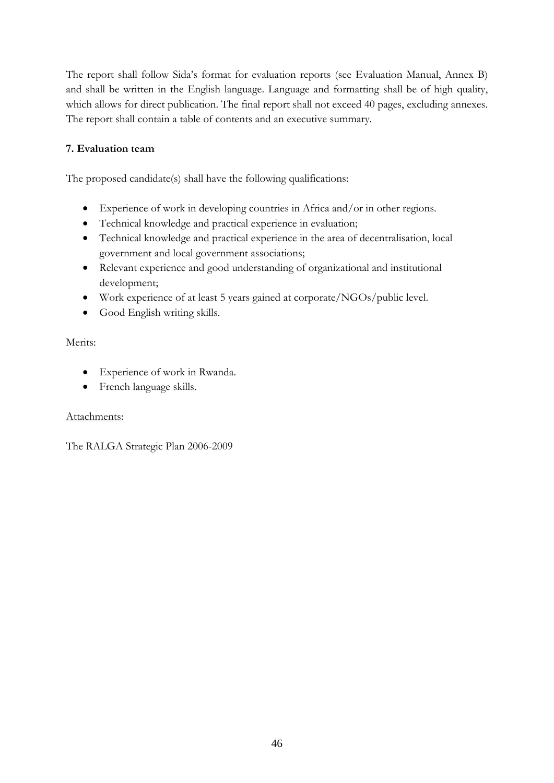The report shall follow Sida's format for evaluation reports (see Evaluation Manual, Annex B) and shall be written in the English language. Language and formatting shall be of high quality, which allows for direct publication. The final report shall not exceed 40 pages, excluding annexes. The report shall contain a table of contents and an executive summary.

# **7. Evaluation team**

The proposed candidate(s) shall have the following qualifications:

- Experience of work in developing countries in Africa and/or in other regions.
- Technical knowledge and practical experience in evaluation;
- Technical knowledge and practical experience in the area of decentralisation, local government and local government associations;
- Relevant experience and good understanding of organizational and institutional development;
- Work experience of at least 5 years gained at corporate/NGOs/public level.
- Good English writing skills.

## Merits:

- Experience of work in Rwanda.
- French language skills.

## Attachments:

The RALGA Strategic Plan 2006-2009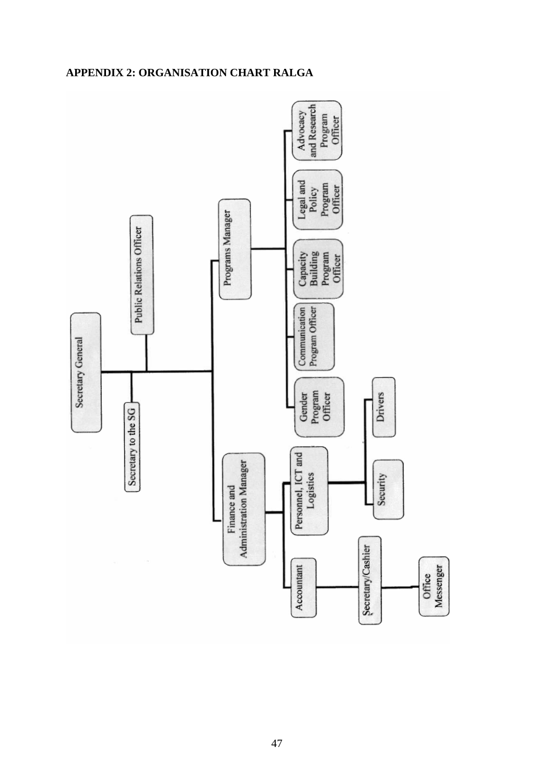# **APPENDIX 2: ORGANISATION CHART RALGA**

<span id="page-46-0"></span>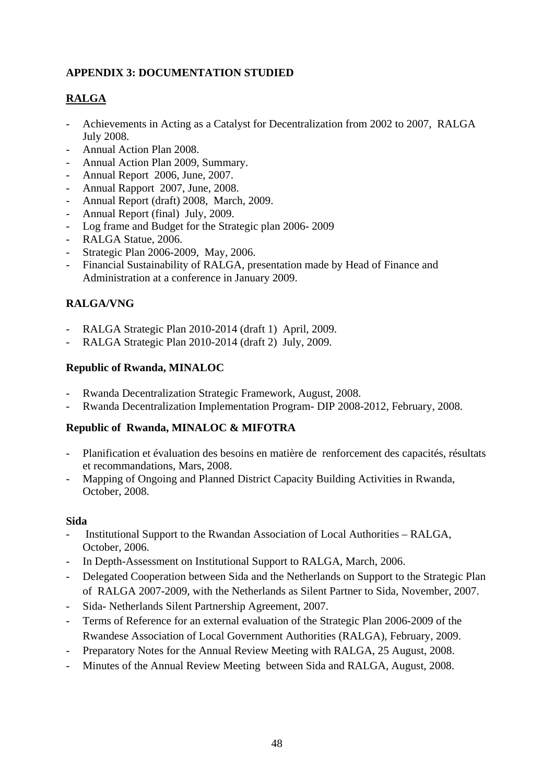# <span id="page-47-0"></span>**APPENDIX 3: DOCUMENTATION STUDIED**

# **RALGA**

- Achievements in Acting as a Catalyst for Decentralization from 2002 to 2007, RALGA July 2008.
- Annual Action Plan 2008.
- Annual Action Plan 2009, Summary.
- Annual Report 2006, June, 2007.
- Annual Rapport 2007, June, 2008.
- Annual Report (draft) 2008, March, 2009.
- Annual Report (final) July, 2009.
- Log frame and Budget for the Strategic plan 2006- 2009
- RALGA Statue, 2006.
- Strategic Plan 2006-2009, May, 2006.
- Financial Sustainability of RALGA, presentation made by Head of Finance and Administration at a conference in January 2009.

# **RALGA/VNG**

- RALGA Strategic Plan 2010-2014 (draft 1) April, 2009.
- RALGA Strategic Plan 2010-2014 (draft 2) July, 2009.

# **Republic of Rwanda, MINALOC**

- Rwanda Decentralization Strategic Framework, August, 2008.
- Rwanda Decentralization Implementation Program- DIP 2008-2012, February, 2008.

## **Republic of Rwanda, MINALOC & MIFOTRA**

- Planification et évaluation des besoins en matière de renforcement des capacités, résultats et recommandations, Mars, 2008.
- Mapping of Ongoing and Planned District Capacity Building Activities in Rwanda, October, 2008.

## **Sida**

- Institutional Support to the Rwandan Association of Local Authorities RALGA, October, 2006.
- In Depth-Assessment on Institutional Support to RALGA, March, 2006.
- Delegated Cooperation between Sida and the Netherlands on Support to the Strategic Plan of RALGA 2007-2009, with the Netherlands as Silent Partner to Sida, November, 2007.
- Sida- Netherlands Silent Partnership Agreement, 2007.
- Terms of Reference for an external evaluation of the Strategic Plan 2006-2009 of the Rwandese Association of Local Government Authorities (RALGA), February, 2009.
- Preparatory Notes for the Annual Review Meeting with RALGA, 25 August, 2008.
- Minutes of the Annual Review Meeting between Sida and RALGA, August, 2008.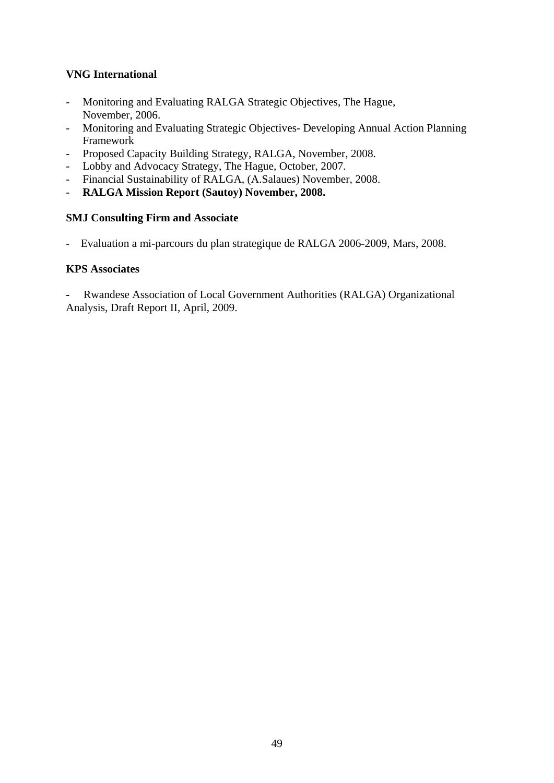# **VNG International**

- Monitoring and Evaluating RALGA Strategic Objectives, The Hague, November, 2006.
- Monitoring and Evaluating Strategic Objectives- Developing Annual Action Planning Framework
- Proposed Capacity Building Strategy, RALGA, November, 2008.
- Lobby and Advocacy Strategy, The Hague, October, 2007.
- Financial Sustainability of RALGA, (A.Salaues) November, 2008.
- **RALGA Mission Report (Sautoy) November, 2008.**

## **SMJ Consulting Firm and Associate**

- Evaluation a mi-parcours du plan strategique de RALGA 2006-2009, Mars, 2008.

#### **KPS Associates**

**-** Rwandese Association of Local Government Authorities (RALGA) Organizational Analysis, Draft Report II, April, 2009.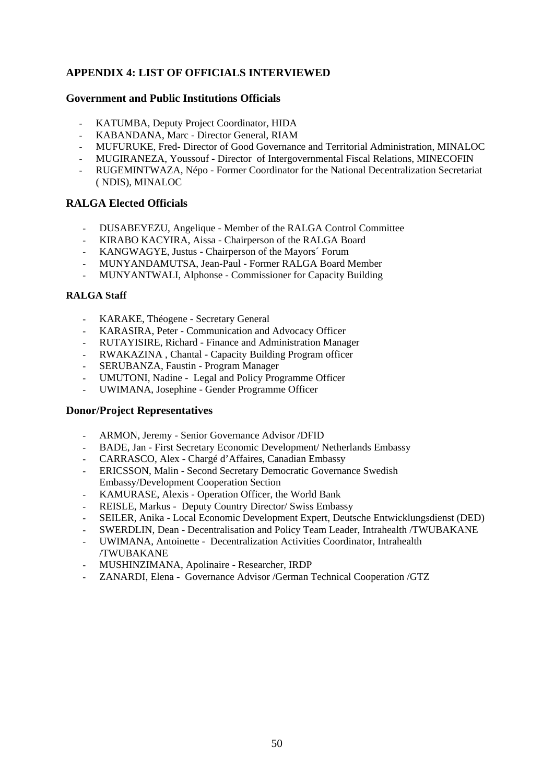## <span id="page-49-0"></span>**APPENDIX 4: LIST OF OFFICIALS INTERVIEWED**

#### **Government and Public Institutions Officials**

- KATUMBA, Deputy Project Coordinator, HIDA
- KABANDANA, Marc Director General, RIAM
- MUFURUKE, Fred- Director of Good Governance and Territorial Administration, MINALOC
- MUGIRANEZA, Youssouf Director of Intergovernmental Fiscal Relations, MINECOFIN
- RUGEMINTWAZA, Népo Former Coordinator for the National Decentralization Secretariat ( NDIS), MINALOC

#### **RALGA Elected Officials**

- DUSABEYEZU, Angelique Member of the RALGA Control Committee
- KIRABO KACYIRA, Aissa Chairperson of the RALGA Board
- KANGWAGYE, Justus Chairperson of the Mayors´ Forum
- MUNYANDAMUTSA, Jean-Paul Former RALGA Board Member
- MUNYANTWALI, Alphonse Commissioner for Capacity Building

#### **RALGA Staff**

- KARAKE, Théogene Secretary General
- KARASIRA, Peter Communication and Advocacy Officer
- RUTAYISIRE, Richard Finance and Administration Manager
- RWAKAZINA , Chantal Capacity Building Program officer
- SERUBANZA, Faustin Program Manager
- UMUTONI, Nadine Legal and Policy Programme Officer
- UWIMANA, Josephine Gender Programme Officer

#### **Donor/Project Representatives**

- ARMON, Jeremy Senior Governance Advisor /DFID
- BADE, Jan First Secretary Economic Development/ Netherlands Embassy
- CARRASCO, Alex Chargé d'Affaires, Canadian Embassy
- ERICSSON, Malin Second Secretary Democratic Governance Swedish Embassy/Development Cooperation Section
- KAMURASE, Alexis Operation Officer, the World Bank
- REISLE, Markus Deputy Country Director/ Swiss Embassy
- SEILER, Anika Local Economic Development Expert, Deutsche Entwicklungsdienst (DED)
- SWERDLIN, Dean Decentralisation and Policy Team Leader, Intrahealth /TWUBAKANE
- UWIMANA, Antoinette Decentralization Activities Coordinator, Intrahealth /TWUBAKANE
- MUSHINZIMANA, Apolinaire Researcher, IRDP
- ZANARDI, Elena Governance Advisor /German Technical Cooperation /GTZ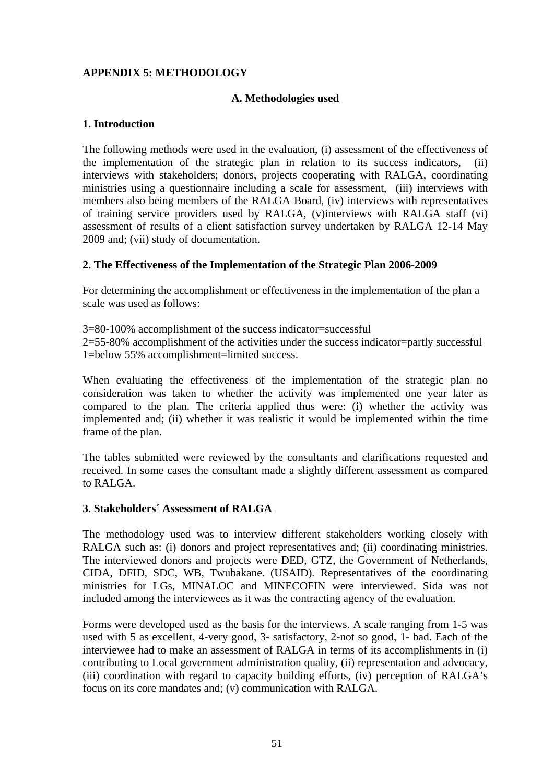## <span id="page-50-0"></span>**APPENDIX 5: METHODOLOGY**

## **A. Methodologies used**

#### **1. Introduction**

The following methods were used in the evaluation, (i) assessment of the effectiveness of the implementation of the strategic plan in relation to its success indicators, (ii) interviews with stakeholders; donors, projects cooperating with RALGA, coordinating ministries using a questionnaire including a scale for assessment, (iii) interviews with members also being members of the RALGA Board, (iv) interviews with representatives of training service providers used by RALGA, (v)interviews with RALGA staff (vi) assessment of results of a client satisfaction survey undertaken by RALGA 12-14 May 2009 and; (vii) study of documentation.

#### **2. The Effectiveness of the Implementation of the Strategic Plan 2006-2009**

For determining the accomplishment or effectiveness in the implementation of the plan a scale was used as follows:

3=80-100% accomplishment of the success indicator=successful 2=55-80% accomplishment of the activities under the success indicator=partly successful 1**=**below 55% accomplishment=limited success.

When evaluating the effectiveness of the implementation of the strategic plan no consideration was taken to whether the activity was implemented one year later as compared to the plan. The criteria applied thus were: (i) whether the activity was implemented and; (ii) whether it was realistic it would be implemented within the time frame of the plan.

The tables submitted were reviewed by the consultants and clarifications requested and received. In some cases the consultant made a slightly different assessment as compared to RALGA.

#### **3. Stakeholders´ Assessment of RALGA**

The methodology used was to interview different stakeholders working closely with RALGA such as: (i) donors and project representatives and; (ii) coordinating ministries. The interviewed donors and projects were DED, GTZ, the Government of Netherlands, CIDA, DFID, SDC, WB, Twubakane. (USAID). Representatives of the coordinating ministries for LGs, MINALOC and MINECOFIN were interviewed. Sida was not included among the interviewees as it was the contracting agency of the evaluation.

Forms were developed used as the basis for the interviews. A scale ranging from 1-5 was used with 5 as excellent, 4-very good, 3- satisfactory, 2-not so good, 1- bad. Each of the interviewee had to make an assessment of RALGA in terms of its accomplishments in (i) contributing to Local government administration quality, (ii) representation and advocacy, (iii) coordination with regard to capacity building efforts, (iv) perception of RALGA's focus on its core mandates and; (v) communication with RALGA.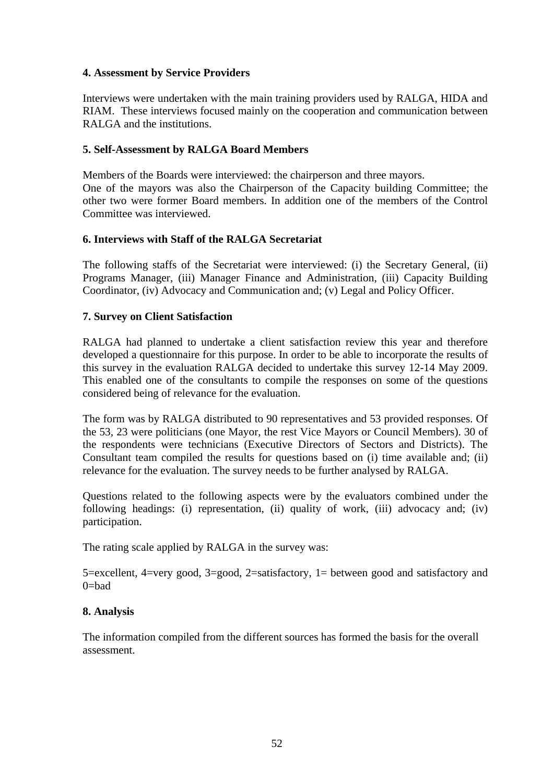## **4. Assessment by Service Providers**

Interviews were undertaken with the main training providers used by RALGA, HIDA and RIAM. These interviews focused mainly on the cooperation and communication between RALGA and the institutions.

#### **5. Self-Assessment by RALGA Board Members**

Members of the Boards were interviewed: the chairperson and three mayors. One of the mayors was also the Chairperson of the Capacity building Committee; the other two were former Board members. In addition one of the members of the Control Committee was interviewed.

#### **6. Interviews with Staff of the RALGA Secretariat**

The following staffs of the Secretariat were interviewed: (i) the Secretary General, (ii) Programs Manager, (iii) Manager Finance and Administration, (iii) Capacity Building Coordinator, (iv) Advocacy and Communication and; (v) Legal and Policy Officer.

#### **7. Survey on Client Satisfaction**

RALGA had planned to undertake a client satisfaction review this year and therefore developed a questionnaire for this purpose. In order to be able to incorporate the results of this survey in the evaluation RALGA decided to undertake this survey 12-14 May 2009. This enabled one of the consultants to compile the responses on some of the questions considered being of relevance for the evaluation.

The form was by RALGA distributed to 90 representatives and 53 provided responses. Of the 53, 23 were politicians (one Mayor, the rest Vice Mayors or Council Members). 30 of the respondents were technicians (Executive Directors of Sectors and Districts). The Consultant team compiled the results for questions based on (i) time available and; (ii) relevance for the evaluation. The survey needs to be further analysed by RALGA.

Questions related to the following aspects were by the evaluators combined under the following headings: (i) representation, (ii) quality of work, (iii) advocacy and; (iv) participation.

The rating scale applied by RALGA in the survey was:

5=excellent, 4=very good, 3=good, 2=satisfactory, 1= between good and satisfactory and  $0 = had$ 

#### **8. Analysis**

The information compiled from the different sources has formed the basis for the overall assessment.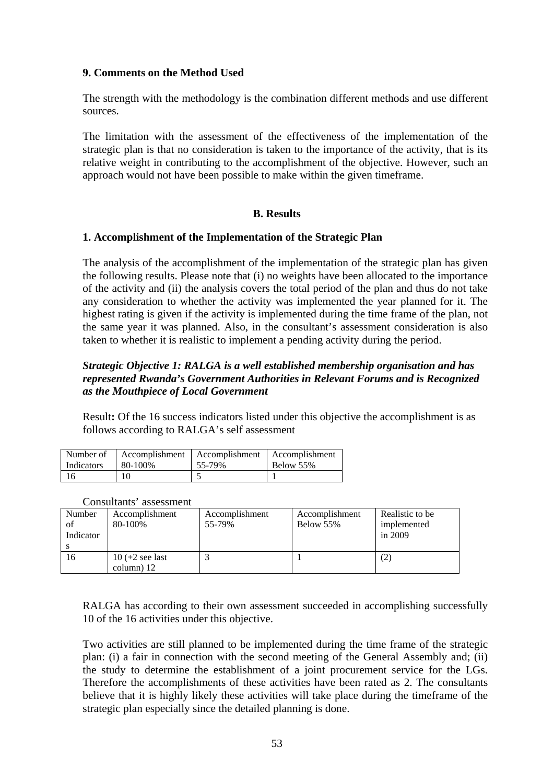#### <span id="page-52-0"></span>**9. Comments on the Method Used**

The strength with the methodology is the combination different methods and use different sources.

The limitation with the assessment of the effectiveness of the implementation of the strategic plan is that no consideration is taken to the importance of the activity, that is its relative weight in contributing to the accomplishment of the objective. However, such an approach would not have been possible to make within the given timeframe.

#### **B. Results**

#### **1. Accomplishment of the Implementation of the Strategic Plan**

The analysis of the accomplishment of the implementation of the strategic plan has given the following results. Please note that (i) no weights have been allocated to the importance of the activity and (ii) the analysis covers the total period of the plan and thus do not take any consideration to whether the activity was implemented the year planned for it. The highest rating is given if the activity is implemented during the time frame of the plan, not the same year it was planned. Also, in the consultant's assessment consideration is also taken to whether it is realistic to implement a pending activity during the period.

#### *Strategic Objective 1: RALGA is a well established membership organisation and has represented Rwanda's Government Authorities in Relevant Forums and is Recognized as the Mouthpiece of Local Government*

Result**:** Of the 16 success indicators listed under this objective the accomplishment is as follows according to RALGA's self assessment

| Number of         |         | Accomplishment   Accomplishment   Accomplishment |           |
|-------------------|---------|--------------------------------------------------|-----------|
| <b>Indicators</b> | 80-100% | 55-79%                                           | Below 55% |
|                   |         |                                                  |           |

#### Consultants' assessment

| Number<br>of<br>Indicator | Accomplishment<br>80-100% | Accomplishment<br>55-79% | Accomplishment<br>Below 55% | Realistic to be<br>implemented<br>in $2009$ |
|---------------------------|---------------------------|--------------------------|-----------------------------|---------------------------------------------|
| 16                        | $10 (+2)$ see last        |                          |                             |                                             |
|                           | column $)$ 12             |                          |                             |                                             |

RALGA has according to their own assessment succeeded in accomplishing successfully 10 of the 16 activities under this objective.

Two activities are still planned to be implemented during the time frame of the strategic plan: (i) a fair in connection with the second meeting of the General Assembly and; (ii) the study to determine the establishment of a joint procurement service for the LGs. Therefore the accomplishments of these activities have been rated as 2. The consultants believe that it is highly likely these activities will take place during the timeframe of the strategic plan especially since the detailed planning is done.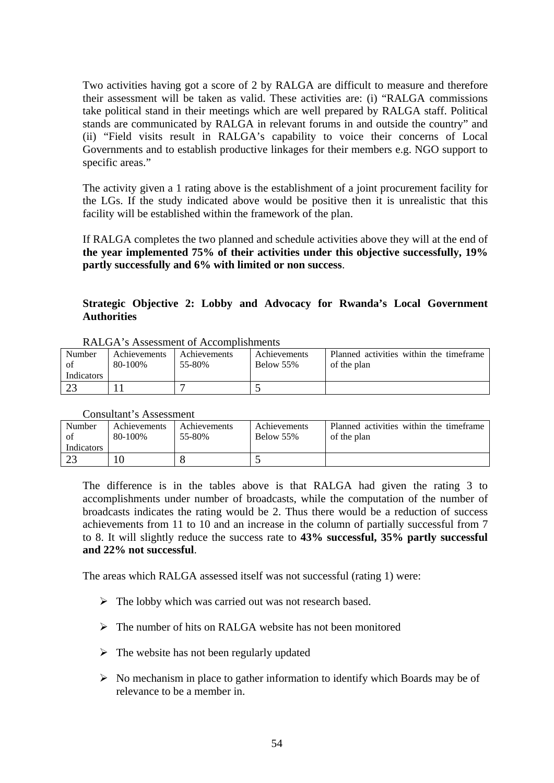Two activities having got a score of 2 by RALGA are difficult to measure and therefore their assessment will be taken as valid. These activities are: (i) "RALGA commissions take political stand in their meetings which are well prepared by RALGA staff. Political stands are communicated by RALGA in relevant forums in and outside the country" and (ii) "Field visits result in RALGA's capability to voice their concerns of Local Governments and to establish productive linkages for their members e.g. NGO support to specific areas."

The activity given a 1 rating above is the establishment of a joint procurement facility for the LGs. If the study indicated above would be positive then it is unrealistic that this facility will be established within the framework of the plan.

If RALGA completes the two planned and schedule activities above they will at the end of **the year implemented 75% of their activities under this objective successfully, 19% partly successfully and 6% with limited or non success**.

#### **Strategic Objective 2: Lobby and Advocacy for Rwanda's Local Government Authorities**

| Number     | <b>Achievements</b> | Achievements | Achievements | Planned activities within the timeframe |
|------------|---------------------|--------------|--------------|-----------------------------------------|
| of         | 80-100%             | 55-80%       | Below 55%    | of the plan                             |
| Indicators |                     |              |              |                                         |
| ാ<br>ل کے  |                     |              |              |                                         |

Consultant's Assessment

| Number            | Achievements | Achievements | Achievements | Planned activities within the timeframe |
|-------------------|--------------|--------------|--------------|-----------------------------------------|
| of                | 80-100%      | 55-80%       | Below 55%    | of the plan                             |
| <b>Indicators</b> |              |              |              |                                         |
|                   |              |              |              |                                         |
|                   |              |              |              |                                         |

The difference is in the tables above is that RALGA had given the rating 3 to accomplishments under number of broadcasts, while the computation of the number of broadcasts indicates the rating would be 2. Thus there would be a reduction of success achievements from 11 to 10 and an increase in the column of partially successful from 7 to 8. It will slightly reduce the success rate to **43% successful, 35% partly successful and 22% not successful**.

The areas which RALGA assessed itself was not successful (rating 1) were:

- $\triangleright$  The lobby which was carried out was not research based.
- $\triangleright$  The number of hits on RALGA website has not been monitored
- $\triangleright$  The website has not been regularly updated
- $\triangleright$  No mechanism in place to gather information to identify which Boards may be of relevance to be a member in.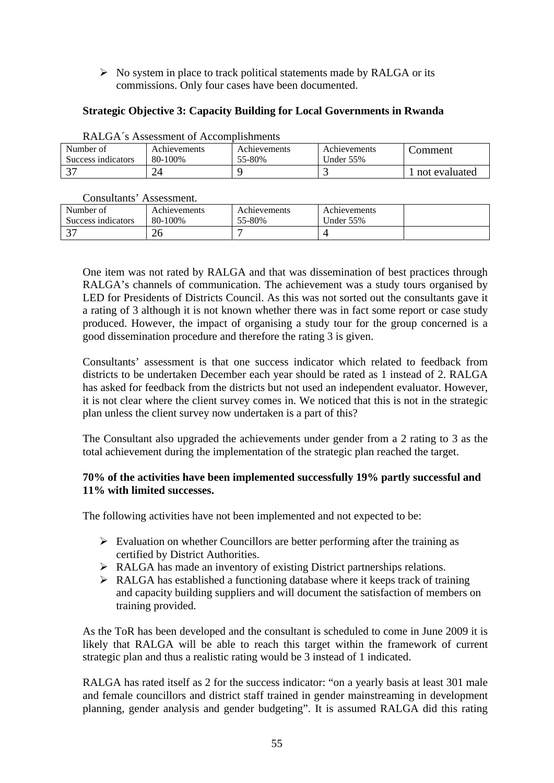$\triangleright$  No system in place to track political statements made by RALGA or its commissions. Only four cases have been documented.

# **Strategic Objective 3: Capacity Building for Local Governments in Rwanda**

|                    | лендер в съвъзванени от стесеннопоннения |              |                     |               |
|--------------------|------------------------------------------|--------------|---------------------|---------------|
| Number of          | <b>Achievements</b>                      | Achievements | <b>Achievements</b> | .`omment      |
| Success indicators | 80-100%                                  | 55-80%       | Under 55%           |               |
|                    |                                          |              |                     | not evaluated |

#### RALGA´s Assessment of Accomplishments

Consultants' Assessment.

| Number of                | Achievements | Achievements | Achievements |  |
|--------------------------|--------------|--------------|--------------|--|
| Success indicators       | 80-100%      | 55-80%       | Under $55\%$ |  |
| $\overline{\phantom{a}}$ | 26           |              |              |  |

One item was not rated by RALGA and that was dissemination of best practices through RALGA's channels of communication. The achievement was a study tours organised by LED for Presidents of Districts Council. As this was not sorted out the consultants gave it a rating of 3 although it is not known whether there was in fact some report or case study produced. However, the impact of organising a study tour for the group concerned is a good dissemination procedure and therefore the rating 3 is given.

Consultants' assessment is that one success indicator which related to feedback from districts to be undertaken December each year should be rated as 1 instead of 2. RALGA has asked for feedback from the districts but not used an independent evaluator. However, it is not clear where the client survey comes in. We noticed that this is not in the strategic plan unless the client survey now undertaken is a part of this?

The Consultant also upgraded the achievements under gender from a 2 rating to 3 as the total achievement during the implementation of the strategic plan reached the target.

## **70% of the activities have been implemented successfully 19% partly successful and 11% with limited successes.**

The following activities have not been implemented and not expected to be:

- $\triangleright$  Evaluation on whether Councillors are better performing after the training as certified by District Authorities.
- $\triangleright$  RALGA has made an inventory of existing District partnerships relations.
- $\triangleright$  RALGA has established a functioning database where it keeps track of training and capacity building suppliers and will document the satisfaction of members on training provided.

As the ToR has been developed and the consultant is scheduled to come in June 2009 it is likely that RALGA will be able to reach this target within the framework of current strategic plan and thus a realistic rating would be 3 instead of 1 indicated.

RALGA has rated itself as 2 for the success indicator: "on a yearly basis at least 301 male and female councillors and district staff trained in gender mainstreaming in development planning, gender analysis and gender budgeting". It is assumed RALGA did this rating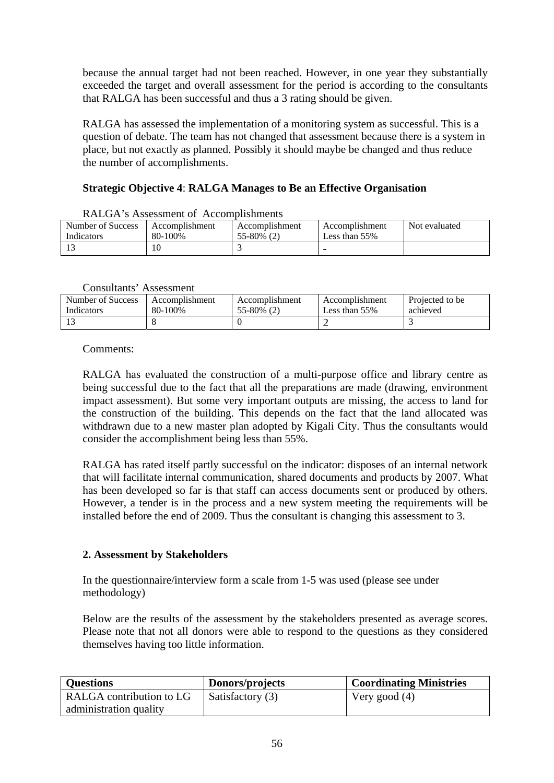because the annual target had not been reached. However, in one year they substantially exceeded the target and overall assessment for the period is according to the consultants that RALGA has been successful and thus a 3 rating should be given.

RALGA has assessed the implementation of a monitoring system as successful. This is a question of debate. The team has not changed that assessment because there is a system in place, but not exactly as planned. Possibly it should maybe be changed and thus reduce the number of accomplishments.

# **Strategic Objective 4**: **RALGA Manages to Be an Effective Organisation**

| Number of Success | Accomplishment | Accomplishment  | Accomplishment   | Not evaluated |
|-------------------|----------------|-----------------|------------------|---------------|
| Indicators        | 80-100%        | $55 - 80\%$ (2) | Less than $55\%$ |               |
|                   |                |                 |                  |               |

RALGA's Assessment of Accomplishments

#### Consultants' Assessment

| $\sim$            |                |                |                  |                 |
|-------------------|----------------|----------------|------------------|-----------------|
| Number of Success | Accomplishment | Accomplishment | Accomplishment   | Projected to be |
| Indicators        | 80-100%        | 55-80% (2)     | Less than $55\%$ | achieved        |
|                   |                |                |                  |                 |

#### Comments:

RALGA has evaluated the construction of a multi-purpose office and library centre as being successful due to the fact that all the preparations are made (drawing, environment impact assessment). But some very important outputs are missing, the access to land for the construction of the building. This depends on the fact that the land allocated was withdrawn due to a new master plan adopted by Kigali City. Thus the consultants would consider the accomplishment being less than 55%.

RALGA has rated itself partly successful on the indicator: disposes of an internal network that will facilitate internal communication, shared documents and products by 2007. What has been developed so far is that staff can access documents sent or produced by others. However, a tender is in the process and a new system meeting the requirements will be installed before the end of 2009. Thus the consultant is changing this assessment to 3.

## **2. Assessment by Stakeholders**

In the questionnaire/interview form a scale from 1-5 was used (please see under methodology)

Below are the results of the assessment by the stakeholders presented as average scores. Please note that not all donors were able to respond to the questions as they considered themselves having too little information.

| <b>Questions</b>         | Donors/projects  | <b>Coordinating Ministries</b> |
|--------------------------|------------------|--------------------------------|
| RALGA contribution to LG | Satisfactory (3) | Very good (4)                  |
| administration quality   |                  |                                |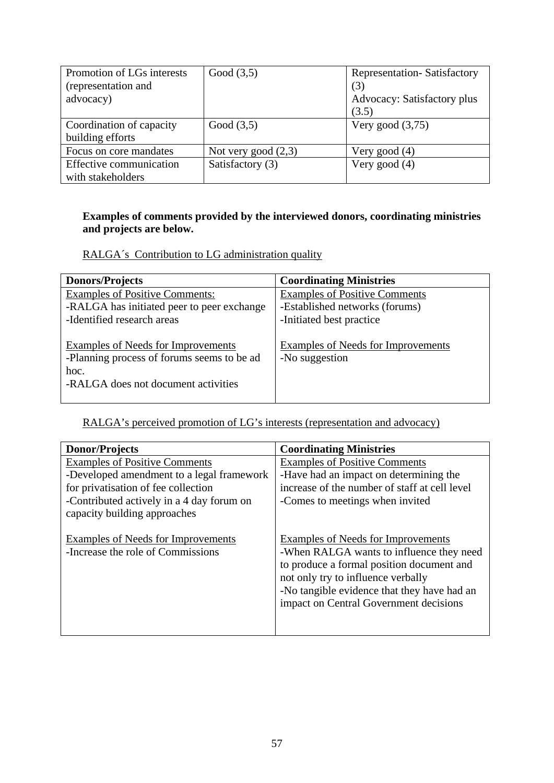| Promotion of LGs interests<br>(representation and<br>advocacy) | Good $(3,5)$          | <b>Representation-Satisfactory</b><br>(3)<br>Advocacy: Satisfactory plus<br>(3.5) |
|----------------------------------------------------------------|-----------------------|-----------------------------------------------------------------------------------|
| Coordination of capacity<br>building efforts                   | Good $(3,5)$          | Very good $(3,75)$                                                                |
| Focus on core mandates                                         | Not very good $(2,3)$ | Very good $(4)$                                                                   |
| Effective communication<br>with stakeholders                   | Satisfactory (3)      | Very good $(4)$                                                                   |

# **Examples of comments provided by the interviewed donors, coordinating ministries and projects are below.**

RALGA´s Contribution to LG administration quality

| <b>Donors/Projects</b>                                                                                                                 | <b>Coordinating Ministries</b>                                                                     |
|----------------------------------------------------------------------------------------------------------------------------------------|----------------------------------------------------------------------------------------------------|
| <b>Examples of Positive Comments:</b><br>-RALGA has initiated peer to peer exchange<br>-Identified research areas                      | <b>Examples of Positive Comments</b><br>-Established networks (forums)<br>-Initiated best practice |
| <b>Examples of Needs for Improvements</b><br>-Planning process of forums seems to be ad<br>hoc.<br>-RALGA does not document activities | <b>Examples of Needs for Improvements</b><br>-No suggestion                                        |

RALGA's perceived promotion of LG's interests (representation and advocacy)

| <b>Donor/Projects</b>                     | <b>Coordinating Ministries</b>                |
|-------------------------------------------|-----------------------------------------------|
| <b>Examples of Positive Comments</b>      | <b>Examples of Positive Comments</b>          |
| -Developed amendment to a legal framework | -Have had an impact on determining the        |
| for privatisation of fee collection       | increase of the number of staff at cell level |
| -Contributed actively in a 4 day forum on | -Comes to meetings when invited               |
| capacity building approaches              |                                               |
|                                           |                                               |
| <b>Examples of Needs for Improvements</b> | Examples of Needs for Improvements            |
| -Increase the role of Commissions         | -When RALGA wants to influence they need      |
|                                           | to produce a formal position document and     |
|                                           | not only try to influence verbally            |
|                                           | -No tangible evidence that they have had an   |
|                                           | impact on Central Government decisions        |
|                                           |                                               |
|                                           |                                               |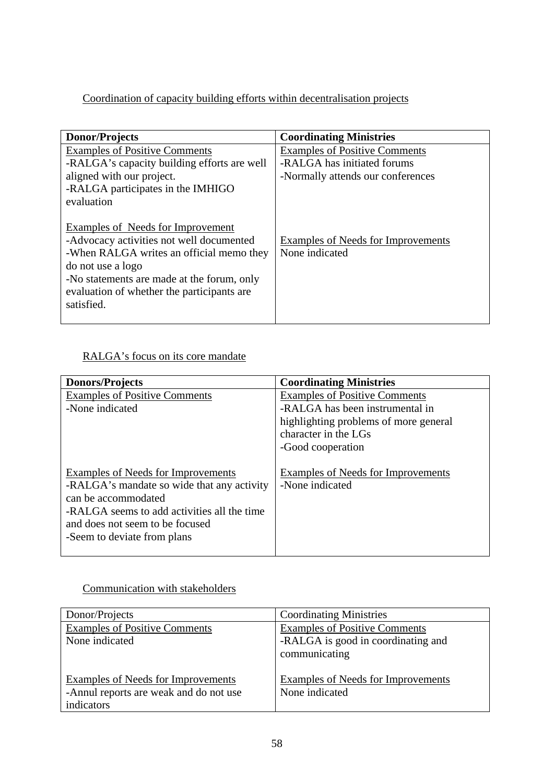# Coordination of capacity building efforts within decentralisation projects

| Donor/Projects                                                                                                                                                                                                                                                  | <b>Coordinating Ministries</b>                              |
|-----------------------------------------------------------------------------------------------------------------------------------------------------------------------------------------------------------------------------------------------------------------|-------------------------------------------------------------|
| <b>Examples of Positive Comments</b>                                                                                                                                                                                                                            | <b>Examples of Positive Comments</b>                        |
| -RALGA's capacity building efforts are well                                                                                                                                                                                                                     | -RALGA has initiated forums                                 |
| aligned with our project.                                                                                                                                                                                                                                       | -Normally attends our conferences                           |
| -RALGA participates in the IMHIGO                                                                                                                                                                                                                               |                                                             |
| evaluation                                                                                                                                                                                                                                                      |                                                             |
| <b>Examples of Needs for Improvement</b><br>-Advocacy activities not well documented<br>-When RALGA writes an official memo they<br>do not use a logo<br>-No statements are made at the forum, only<br>evaluation of whether the participants are<br>satisfied. | <b>Examples of Needs for Improvements</b><br>None indicated |

# RALGA's focus on its core mandate

| <b>Donors/Projects</b>                      | <b>Coordinating Ministries</b>        |
|---------------------------------------------|---------------------------------------|
| <b>Examples of Positive Comments</b>        | <b>Examples of Positive Comments</b>  |
| -None indicated                             | -RALGA has been instrumental in       |
|                                             | highlighting problems of more general |
|                                             | character in the LGs                  |
|                                             | -Good cooperation                     |
|                                             |                                       |
| Examples of Needs for Improvements          | Examples of Needs for Improvements    |
| -RALGA's mandate so wide that any activity  | -None indicated                       |
| can be accommodated                         |                                       |
| -RALGA seems to add activities all the time |                                       |
| and does not seem to be focused             |                                       |
| -Seem to deviate from plans                 |                                       |
|                                             |                                       |

# Communication with stakeholders

| Donor/Projects                            | <b>Coordinating Ministries</b>            |
|-------------------------------------------|-------------------------------------------|
| <b>Examples of Positive Comments</b>      | <b>Examples of Positive Comments</b>      |
| None indicated                            | -RALGA is good in coordinating and        |
|                                           | communicating                             |
|                                           |                                           |
| <b>Examples of Needs for Improvements</b> | <b>Examples of Needs for Improvements</b> |
| -Annul reports are weak and do not use    | None indicated                            |
| indicators                                |                                           |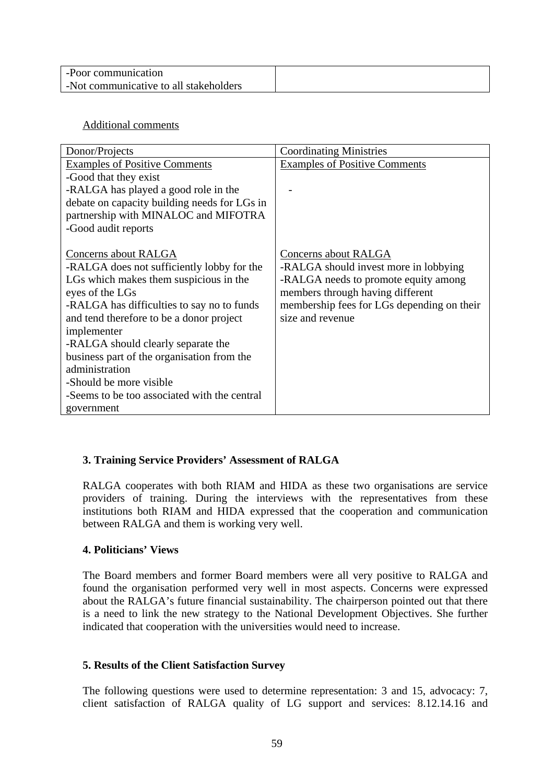| -Poor communication                    |  |
|----------------------------------------|--|
| -Not communicative to all stakeholders |  |

## Additional comments

| Donor/Projects                               | <b>Coordinating Ministries</b>             |
|----------------------------------------------|--------------------------------------------|
| <b>Examples of Positive Comments</b>         | <b>Examples of Positive Comments</b>       |
| -Good that they exist                        |                                            |
| -RALGA has played a good role in the         |                                            |
| debate on capacity building needs for LGs in |                                            |
| partnership with MINALOC and MIFOTRA         |                                            |
| -Good audit reports                          |                                            |
|                                              |                                            |
| Concerns about RALGA                         | Concerns about RALGA                       |
| -RALGA does not sufficiently lobby for the   | -RALGA should invest more in lobbying      |
| LGs which makes them suspicious in the       | -RALGA needs to promote equity among       |
| eyes of the LGs                              | members through having different           |
| -RALGA has difficulties to say no to funds   | membership fees for LGs depending on their |
| and tend therefore to be a donor project     | size and revenue                           |
| implementer                                  |                                            |
| -RALGA should clearly separate the           |                                            |
| business part of the organisation from the   |                                            |
| administration                               |                                            |
| -Should be more visible                      |                                            |
| -Seems to be too associated with the central |                                            |
| government                                   |                                            |

# **3. Training Service Providers' Assessment of RALGA**

RALGA cooperates with both RIAM and HIDA as these two organisations are service providers of training. During the interviews with the representatives from these institutions both RIAM and HIDA expressed that the cooperation and communication between RALGA and them is working very well.

## **4. Politicians' Views**

The Board members and former Board members were all very positive to RALGA and found the organisation performed very well in most aspects. Concerns were expressed about the RALGA's future financial sustainability. The chairperson pointed out that there is a need to link the new strategy to the National Development Objectives. She further indicated that cooperation with the universities would need to increase.

## **5. Results of the Client Satisfaction Survey**

The following questions were used to determine representation: 3 and 15, advocacy: 7, client satisfaction of RALGA quality of LG support and services: 8.12.14.16 and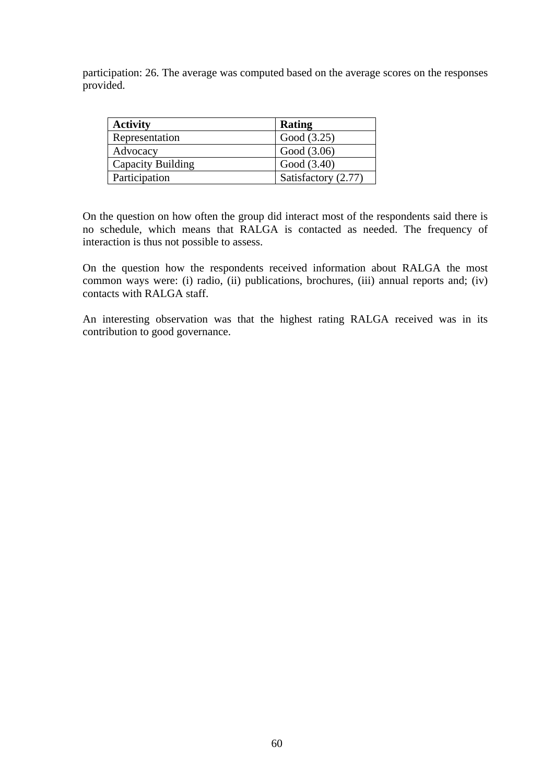participation: 26. The average was computed based on the average scores on the responses provided.

| <b>Activity</b>   | Rating              |
|-------------------|---------------------|
| Representation    | Good (3.25)         |
| Advocacy          | Good (3.06)         |
| Capacity Building | Good (3.40)         |
| Participation     | Satisfactory (2.77) |

On the question on how often the group did interact most of the respondents said there is no schedule, which means that RALGA is contacted as needed. The frequency of interaction is thus not possible to assess.

On the question how the respondents received information about RALGA the most common ways were: (i) radio, (ii) publications, brochures, (iii) annual reports and; (iv) contacts with RALGA staff.

An interesting observation was that the highest rating RALGA received was in its contribution to good governance.